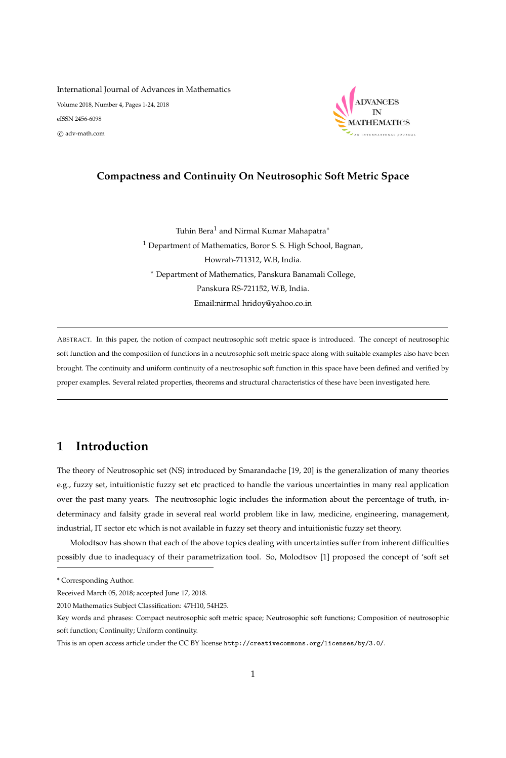# International Journal of Advances in Mathematics Volume 2018, Number 4, Pages 1-24, 2018 eISSN 2456-6098 c adv-math.com



# **Compactness and Continuity On Neutrosophic Soft Metric Space**

Tuhin Bera<sup>1</sup> and Nirmal Kumar Mahapatra<sup>\*</sup> <sup>1</sup> Department of Mathematics, Boror S. S. High School, Bagnan, Howrah-711312, W.B, India. <sup>∗</sup> Department of Mathematics, Panskura Banamali College, Panskura RS-721152, W.B, India. Email:nirmal hridoy@yahoo.co.in

ABSTRACT. In this paper, the notion of compact neutrosophic soft metric space is introduced. The concept of neutrosophic soft function and the composition of functions in a neutrosophic soft metric space along with suitable examples also have been brought. The continuity and uniform continuity of a neutrosophic soft function in this space have been defined and verified by proper examples. Several related properties, theorems and structural characteristics of these have been investigated here.

# **1 Introduction**

The theory of Neutrosophic set (NS) introduced by Smarandache [19, 20] is the generalization of many theories e.g., fuzzy set, intuitionistic fuzzy set etc practiced to handle the various uncertainties in many real application over the past many years. The neutrosophic logic includes the information about the percentage of truth, indeterminacy and falsity grade in several real world problem like in law, medicine, engineering, management, industrial, IT sector etc which is not available in fuzzy set theory and intuitionistic fuzzy set theory.

Molodtsov has shown that each of the above topics dealing with uncertainties suffer from inherent difficulties possibly due to inadequacy of their parametrization tool. So, Molodtsov [1] proposed the concept of 'soft set

<sup>\*</sup> Corresponding Author.

Received March 05, 2018; accepted June 17, 2018.

<sup>2010</sup> Mathematics Subject Classification: 47H10, 54H25.

Key words and phrases: Compact neutrosophic soft metric space; Neutrosophic soft functions; Composition of neutrosophic soft function; Continuity; Uniform continuity.

This is an open access article under the CC BY license http://creativecommons.org/licenses/by/3.0/.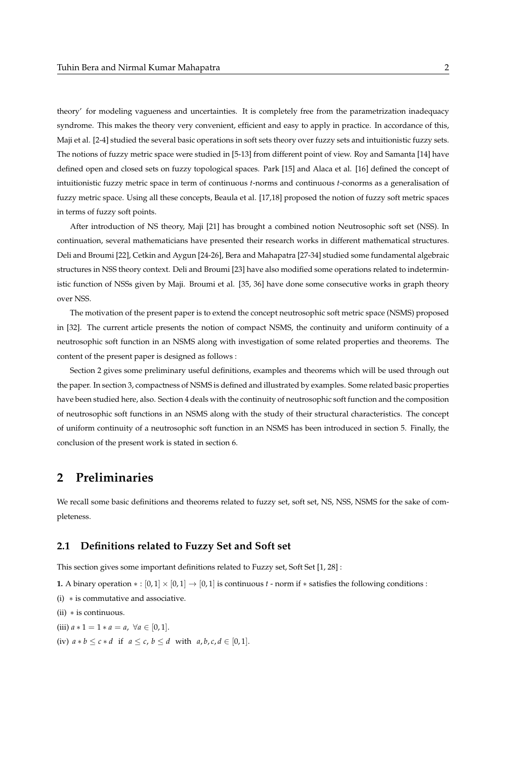theory' for modeling vagueness and uncertainties. It is completely free from the parametrization inadequacy syndrome. This makes the theory very convenient, efficient and easy to apply in practice. In accordance of this, Maji et al. [2-4] studied the several basic operations in soft sets theory over fuzzy sets and intuitionistic fuzzy sets. The notions of fuzzy metric space were studied in [5-13] from different point of view. Roy and Samanta [14] have defined open and closed sets on fuzzy topological spaces. Park [15] and Alaca et al. [16] defined the concept of intuitionistic fuzzy metric space in term of continuous *t*-norms and continuous *t*-conorms as a generalisation of fuzzy metric space. Using all these concepts, Beaula et al. [17,18] proposed the notion of fuzzy soft metric spaces in terms of fuzzy soft points.

After introduction of NS theory, Maji [21] has brought a combined notion Neutrosophic soft set (NSS). In continuation, several mathematicians have presented their research works in different mathematical structures. Deli and Broumi [22], Cetkin and Aygun [24-26], Bera and Mahapatra [27-34] studied some fundamental algebraic structures in NSS theory context. Deli and Broumi [23] have also modified some operations related to indeterministic function of NSSs given by Maji. Broumi et al. [35, 36] have done some consecutive works in graph theory over NSS.

The motivation of the present paper is to extend the concept neutrosophic soft metric space (NSMS) proposed in [32]. The current article presents the notion of compact NSMS, the continuity and uniform continuity of a neutrosophic soft function in an NSMS along with investigation of some related properties and theorems. The content of the present paper is designed as follows :

Section 2 gives some preliminary useful definitions, examples and theorems which will be used through out the paper. In section 3, compactness of NSMS is defined and illustrated by examples. Some related basic properties have been studied here, also. Section 4 deals with the continuity of neutrosophic soft function and the composition of neutrosophic soft functions in an NSMS along with the study of their structural characteristics. The concept of uniform continuity of a neutrosophic soft function in an NSMS has been introduced in section 5. Finally, the conclusion of the present work is stated in section 6.

# **2 Preliminaries**

We recall some basic definitions and theorems related to fuzzy set, soft set, NS, NSS, NSMS for the sake of completeness.

# **2.1 Definitions related to Fuzzy Set and Soft set**

This section gives some important definitions related to Fuzzy set, Soft Set [1, 28] :

**1.** A binary operation  $* : [0,1] \times [0,1] \rightarrow [0,1]$  is continuous *t* - norm if  $*$  satisfies the following conditions :

- (i) ∗ is commutative and associative.
- (ii) ∗ is continuous.
- (iii)  $a * 1 = 1 * a = a, \forall a \in [0, 1].$
- (iv)  $a * b \leq c * d$  if  $a \leq c$ ,  $b \leq d$  with  $a, b, c, d \in [0, 1]$ .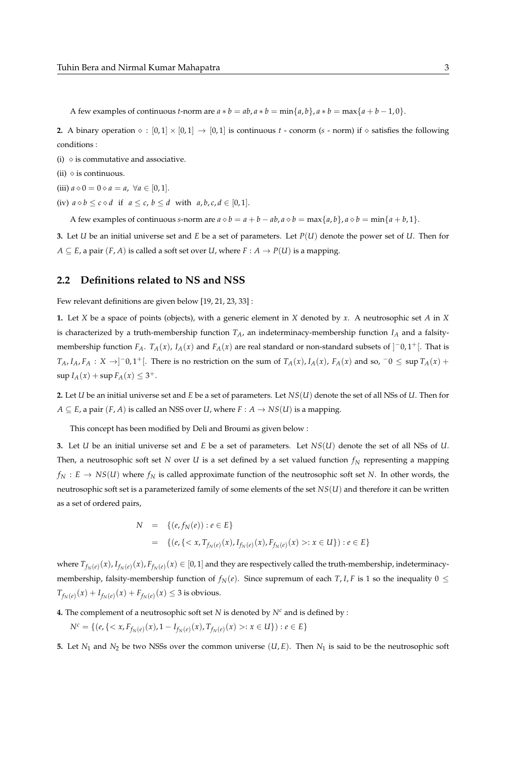A few examples of continuous *t*-norm are  $a * b = ab$ ,  $a * b = min{a, b}$ ,  $a * b = max{a + b - 1, 0}$ .

**2.** A binary operation  $\diamond$  :  $[0,1] \times [0,1] \rightarrow [0,1]$  is continuous *t* - conorm (*s* - norm) if  $\diamond$  satisfies the following conditions :

- (i)  $\Diamond$  is commutative and associative.
- (ii)  $\diamond$  is continuous.
- (iii)  $a \diamond 0 = 0 \diamond a = a$ ,  $\forall a \in [0, 1].$
- (iv)  $a \diamond b \leq c \diamond d$  if  $a \leq c$ ,  $b \leq d$  with  $a, b, c, d \in [0, 1]$ .

A few examples of continuous *s*-norm are  $a \diamond b = a + b - ab$ ,  $a \diamond b = \max\{a, b\}$ ,  $a \diamond b = \min\{a + b, 1\}$ .

**3.** Let *U* be an initial universe set and *E* be a set of parameters. Let *P*(*U*) denote the power set of *U*. Then for  $A \subseteq E$ , a pair  $(F, A)$  is called a soft set over *U*, where  $F : A \rightarrow P(U)$  is a mapping.

### **2.2 Definitions related to NS and NSS**

Few relevant definitions are given below [19, 21, 23, 33] :

**1.** Let *X* be a space of points (objects), with a generic element in *X* denoted by *x*. A neutrosophic set *A* in *X* is characterized by a truth-membership function  $T_A$ , an indeterminacy-membership function  $I_A$  and a falsitymembership function *FA*. *TA*(*x*), *IA*(*x*) and *FA*(*x*) are real standard or non-standard subsets of ] <sup>−</sup>0, 1+[. That is  $T_A$ ,  $I_A$ ,  $F_A: X \rightarrow ]-0$ ,  $1^+$ [. There is no restriction on the sum of  $T_A(x)$ ,  $I_A(x)$ ,  $F_A(x)$  and so,  $-0 \le \sup T_A(x) +$  $\sup I_A(x) + \sup F_A(x) \leq 3^+.$ 

**2.** Let *U* be an initial universe set and *E* be a set of parameters. Let *NS*(*U*) denote the set of all NSs of *U*. Then for  $A \subseteq E$ , a pair  $(F, A)$  is called an NSS over *U*, where  $F : A \rightarrow NS(U)$  is a mapping.

This concept has been modified by Deli and Broumi as given below :

**3.** Let *U* be an initial universe set and *E* be a set of parameters. Let *NS*(*U*) denote the set of all NSs of *U*. Then, a neutrosophic soft set *N* over *U* is a set defined by a set valued function *f<sup>N</sup>* representing a mapping  $f_N : E \to NS(U)$  where  $f_N$  is called approximate function of the neutrosophic soft set *N*. In other words, the neutrosophic soft set is a parameterized family of some elements of the set *NS*(*U*) and therefore it can be written as a set of ordered pairs,

$$
N = \{(e, f_N(e)) : e \in E\}
$$
  
=  $\{(e, \{: x \in U\}) : e \in E\}$ 

where  $T_{f_N(e)}(x)$ ,  $I_{f_N(e)}(x)$ ,  $F_{f_N(e)}(x) \in [0,1]$  and they are respectively called the truth-membership, indeterminacymembership, falsity-membership function of  $f_N(e)$ . Since supremum of each  $T$ , *I*, *F* is 1 so the inequality  $0 \leq$  $T_{f_N(e)}(x) + I_{f_N(e)}(x) + F_{f_N(e)}(x) \leq 3$  is obvious.

**4.** The complement of a neutrosophic soft set *N* is denoted by  $N^c$  and is defined by :

 $N^c = \{ (e, \{ < x, F_{f_N(e)}(x), 1 - I_{f_N(e)}(x), T_{f_N(e)}(x) > : x \in U \}) : e \in E \}$ 

**5.** Let *N*<sup>1</sup> and *N*<sup>2</sup> be two NSSs over the common universe (*U*, *E*). Then *N*<sup>1</sup> is said to be the neutrosophic soft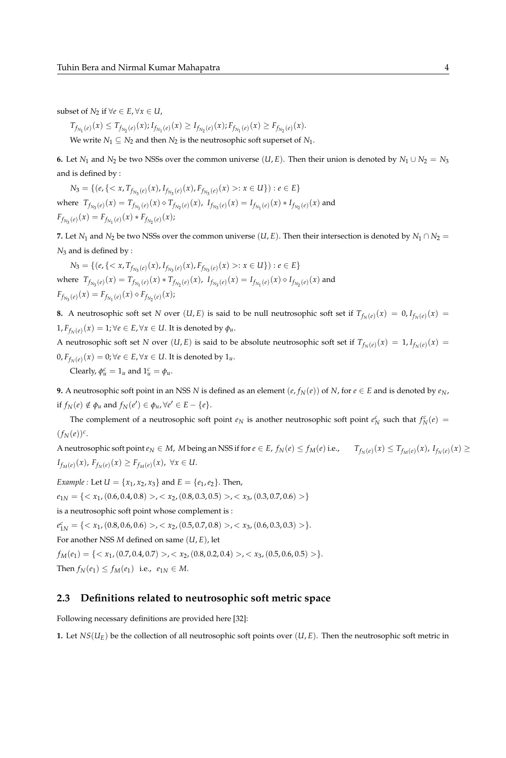subset of  $N_2$  if  $\forall e \in E, \forall x \in U$ ,

$$
T_{f_{N_1}(e)}(x) \leq T_{f_{N_2}(e)}(x); I_{f_{N_1}(e)}(x) \geq I_{f_{N_2}(e)}(x); F_{f_{N_1}(e)}(x) \geq F_{f_{N_2}(e)}(x).
$$
  
We write  $N_1 \subseteq N_2$  and then  $N_2$  is the neutroscopic soft superset of  $N_1$ .

**6.** Let  $N_1$  and  $N_2$  be two NSSs over the common universe  $(U, E)$ . Then their union is denoted by  $N_1 \cup N_2 = N_3$ and is defined by :

 $N_3 = \{ (e, \{ < x, T_{f_{N_3}(e)}(x), I_{f_{N_3}(e)}(x), F_{f_{N_3}(e)}(x) >: x \in U \}) : e \in E \}$ where  $T_{f_{N_3}(e)}(x) = T_{f_{N_1}(e)}(x) \diamond T_{f_{N_2}(e)}(x)$ ,  $I_{f_{N_3}(e)}(x) = I_{f_{N_1}(e)}(x) * I_{f_{N_2}(e)}(x)$  and  $F_{f_{N_3}(e)}(x) = F_{f_{N_1}(e)}(x) * F_{f_{N_2}(e)}(x);$ 

**7.** Let  $N_1$  and  $N_2$  be two NSSs over the common universe  $(U, E)$ . Then their intersection is denoted by  $N_1 \cap N_2 =$ *N*<sup>3</sup> and is defined by :

 $N_3 = \{ (e, \{ < x, T_{f_{N_3}(e)}(x), I_{f_{N_3}(e)}(x), F_{f_{N_3}(e)}(x) >: x \in U \}) : e \in E \}$ where  $T_{f_{N_3}(e)}(x) = T_{f_{N_1}(e)}(x) * T_{f_{N_2}(e)}(x)$ ,  $I_{f_{N_3}(e)}(x) = I_{f_{N_1}(e)}(x) \diamond I_{f_{N_2}(e)}(x)$  and  $F_{f_{N_3}(e)}(x) = F_{f_{N_1}(e)}(x) \diamond F_{f_{N_2}(e)}(x);$ 

**8.** A neutrosophic soft set *N* over  $(U, E)$  is said to be null neutrosophic soft set if  $T_{f_N(e)}(x) = 0, I_{f_N(e)}(x) = 0$  $1, F_{f_N(e)}(x) = 1; \forall e \in E, \forall x \in U$ . It is denoted by  $\phi_u$ .

A neutrosophic soft set *N* over  $(U, E)$  is said to be absolute neutrosophic soft set if  $T_{f_N(e)}(x) = 1, I_{f_N(e)}(x) = 1$  $0, F_{f_N(e)}(x) = 0; \forall e \in E, \forall x \in U.$  It is denoted by  $1_u.$ 

Clearly,  $\phi_u^c = 1_u$  and  $1_u^c = \phi_u$ .

**9.** A neutrosophic soft point in an NSS *N* is defined as an element  $(e, f_N(e))$  of *N*, for  $e \in E$  and is denoted by  $e_N$ , if  $f_N(e) \notin \phi_u$  and  $f_N(e') \in \phi_u$ ,  $\forall e' \in E - \{e\}.$ 

The complement of a neutrosophic soft point  $e_N$  is another neutrosophic soft point  $e_N^c$  such that  $f_N^c(e)$  =  $(f_N(e))^c$ .

A neutrosophic soft point  $e_N \in M$ , M being an NSS if for  $e \in E$ ,  $f_N(e) \le f_M(e)$  i.e.,  $T_{f_N(e)}(x) \le T_{f_M(e)}(x)$ ,  $I_{f_N(e)}(x) \ge$ *I*<sub>*fM*</sub>(*e*)</sub>(*x*), *F*<sub>*f<sub>N</sub>*(*e*)</sub>(*x*) ≥ *F*<sub>*f<sub>M</sub>*(*e*)(*x*), ∀*x* ∈ *U*.</sub>

*Example :* Let  $U = \{x_1, x_2, x_3\}$  and  $E = \{e_1, e_2\}$ . Then,  $e_{1N} = \{ \langle x_1, (0.6, 0.4, 0.8) \rangle, \langle x_2, (0.8, 0.3, 0.5) \rangle, \langle x_3, (0.3, 0.7, 0.6) \rangle \}$ is a neutrosophic soft point whose complement is :  $e_{1N}^c = \{ \langle x_1, (0.8, 0.6, 0.6) \rangle, \langle x_2, (0.5, 0.7, 0.8) \rangle, \langle x_3, (0.6, 0.3, 0.3) \rangle \}.$ For another NSS *M* defined on same (*U*, *E*), let  $f_M(e_1) = \{ \langle x_1, (0.7, 0.4, 0.7) \rangle, \langle x_2, (0.8, 0.2, 0.4) \rangle, \langle x_3, (0.5, 0.6, 0.5) \rangle \}.$ *Then*  $f_N(e_1) \le f_M(e_1)$  i.e.,  $e_{1N} \in M$ .

# **2.3 Definitions related to neutrosophic soft metric space**

Following necessary definitions are provided here [32]:

**1.** Let  $NS(U_E)$  be the collection of all neutrosophic soft points over  $(U, E)$ . Then the neutrosophic soft metric in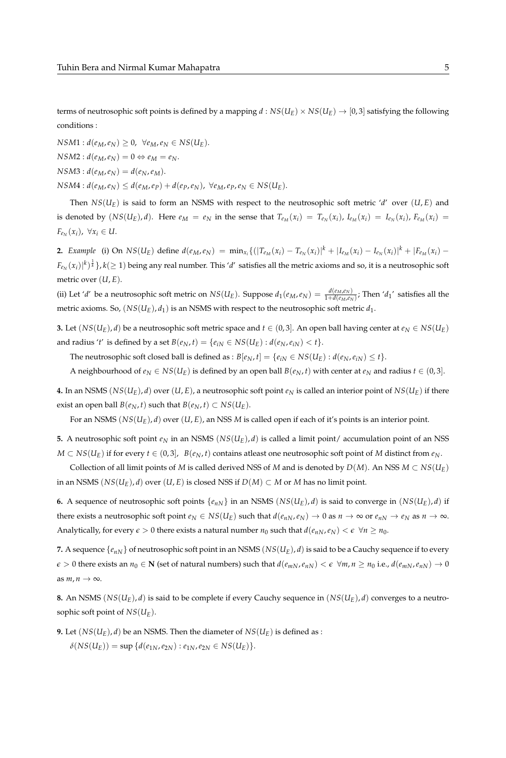terms of neutrosophic soft points is defined by a mapping  $d : NS(U_E) \times NS(U_E) \rightarrow [0, 3]$  satisfying the following conditions :

 $NSM1: d(e_M, e_N) \geq 0$ ,  $\forall e_M, e_N \in NS(U_E)$ .

 $NSM2: d(e_M, e_N) = 0 \Leftrightarrow e_M = e_N.$ 

 $NSM3: d(e_M, e_N) = d(e_N, e_M).$ 

 $NSM4: d(e_M, e_N) \leq d(e_M, e_P) + d(e_P, e_N)$ ,  $\forall e_M, e_P, e_N \in NS(U_E)$ .

Then  $NS(U_E)$  is said to form an NSMS with respect to the neutrosophic soft metric '*d'* over  $(U, E)$  and is denoted by  $(NS(U_E), d)$ . Here  $e_M = e_N$  in the sense that  $T_{e_M}(x_i) = T_{e_N}(x_i)$ ,  $I_{e_M}(x_i) = I_{e_N}(x_i)$ ,  $F_{e_M}(x_i) =$  $F_{e_N}(x_i)$ ,  $\forall x_i \in U$ .

**2.** Example (i) On  $NS(U_E)$  define  $d(e_M, e_N) = \min_{x_i} \{ (|T_{e_M}(x_i) - T_{e_N}(x_i)|^k + |I_{e_M}(x_i) - I_{e_N}(x_i)|^k + |F_{e_M}(x_i) - F_{e_M}(x_i)|^k \}$  $F_{e_N}(x_i)|^k)^{\frac1k}$  },  $k(\geq 1)$  being any real number. This '*d*' satisfies all the metric axioms and so, it is a neutrosophic soft metric over  $(U, E)$ .

(ii) Let 'd' be a neutrosophic soft metric on  $NS(U_E)$ . Suppose  $d_1(e_M, e_N) = \frac{d(e_M, e_N)}{1 + d(e_M, e_N)}$ ; Then 'd<sub>1</sub>' satisfies all the metric axioms. So,  $(NS(U_E), d_1)$  is an NSMS with respect to the neutrosophic soft metric  $d_1$ .

**3.** Let  $(NS(U_E), d)$  be a neutrosophic soft metric space and  $t \in (0, 3]$ . An open ball having center at  $e_N \in NS(U_E)$ and radius '*t*' is defined by a set  $B(e_N, t) = \{e_{iN} \in NS(U_E) : d(e_N, e_{iN}) < t\}.$ 

The neutrosophic soft closed ball is defined as :  $B[e_N, t] = \{e_{iN} \in NS(U_E) : d(e_N, e_{iN}) \le t\}.$ 

A neighbourhood of  $e_N \in NS(U_E)$  is defined by an open ball  $B(e_N, t)$  with center at  $e_N$  and radius  $t \in (0, 3]$ .

**4.** In an NSMS ( $NS(U_E)$ , *d*) over (*U*, *E*), a neutrosophic soft point  $e_N$  is called an interior point of  $NS(U_E)$  if there exist an open ball *B*( $e_N$ , *t*) such that *B*( $e_N$ , *t*) ⊂ *NS*( $U_E$ ).

For an NSMS (*NS*(*UE*), *d*) over (*U*, *E*), an NSS *M* is called open if each of it's points is an interior point.

**5.** A neutrosophic soft point  $e_N$  in an NSMS ( $NS(U_E)$ , *d*) is called a limit point/ accumulation point of an NSS *M* ⊂ *NS*( $U_E$ ) if for every *t* ∈ (0,3), *B*( $e_N$ , *t*) contains atleast one neutrosophic soft point of *M* distinct from  $e_N$ .

Collection of all limit points of *M* is called derived NSS of *M* and is denoted by  $D(M)$ . An NSS  $M \subset NS(U_E)$ in an NSMS  $(NS(U_E), d)$  over  $(U, E)$  is closed NSS if  $D(M) \subset M$  or *M* has no limit point.

**6.** A sequence of neutrosophic soft points  $\{e_{nN}\}\$ in an NSMS  $(NS(U_E), d)$  is said to converge in  $(NS(U_E), d)$  if there exists a neutrosophic soft point  $e_N \in NS(U_E)$  such that  $d(e_{nN}, e_N) \to 0$  as  $n \to \infty$  or  $e_{nN} \to e_N$  as  $n \to \infty$ . Analytically, for every  $\epsilon > 0$  there exists a natural number  $n_0$  such that  $d(e_{nN}, e_N) < \epsilon \ \forall n \ge n_0$ .

**7.** A sequence  $\{e_{nN}\}$  of neutrosophic soft point in an NSMS ( $NS(U_E)$ , *d*) is said to be a Cauchy sequence if to every  $\epsilon > 0$  there exists an  $n_0 \in \mathbb{N}$  (set of natural numbers) such that  $d(e_{mN}, e_{nN}) < \epsilon \ \forall m, n \ge n_0$  i.e.,  $d(e_{mN}, e_{nN}) \to 0$ as  $m, n \to \infty$ .

**8.** An NSMS ( $NS(U_E)$ , *d*) is said to be complete if every Cauchy sequence in  $(NS(U_E)$ , *d*) converges to a neutrosophic soft point of *NS*(*UE*).

**9.** Let  $(NS(U_E), d)$  be an NSMS. Then the diameter of  $NS(U_E)$  is defined as :  $\delta(NS(U_E)) = \sup \{d(e_{1N}, e_{2N}) : e_{1N}, e_{2N} \in NS(U_E)\}.$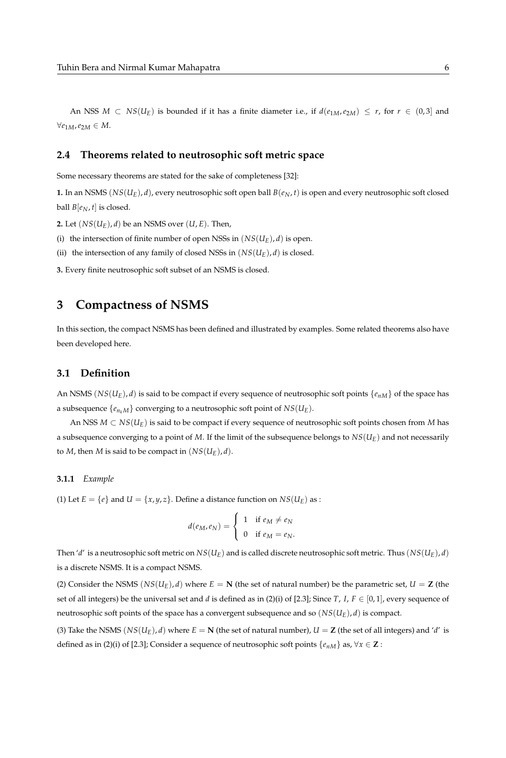An NSS  $M \subset NS(U_E)$  is bounded if it has a finite diameter i.e., if  $d(e_{1M}, e_{2M}) \leq r$ , for  $r \in (0, 3]$  and  $∀e_{1M}$ ,  $e_{2M}$  ∈ *M*.

## **2.4 Theorems related to neutrosophic soft metric space**

Some necessary theorems are stated for the sake of completeness [32]:

**1.** In an NSMS  $(NS(U_E), d)$ , every neutrosophic soft open ball  $B(e_N, t)$  is open and every neutrosophic soft closed ball  $B[e_N, t]$  is closed.

**2.** Let  $(NS(U_F), d)$  be an NSMS over  $(U, E)$ . Then,

(i) the intersection of finite number of open NSSs in  $(NS(U_E), d)$  is open.

(ii) the intersection of any family of closed NSSs in  $(NS(U_E), d)$  is closed.

**3.** Every finite neutrosophic soft subset of an NSMS is closed.

# **3 Compactness of NSMS**

In this section, the compact NSMS has been defined and illustrated by examples. Some related theorems also have been developed here.

# **3.1 Definition**

An NSMS ( $NS(U_E)$ , *d*) is said to be compact if every sequence of neutrosophic soft points  $\{e_{nM}\}$  of the space has a subsequence  $\{e_{n_k}M\}$  converging to a neutrosophic soft point of  $NS(U_E)$ .

An NSS *M* ⊂ *NS*(*UE*) is said to be compact if every sequence of neutrosophic soft points chosen from *M* has a subsequence converging to a point of *M*. If the limit of the subsequence belongs to *NS*(*UE*) and not necessarily to *M*, then *M* is said to be compact in  $(NS(U_E), d)$ .

### **3.1.1** *Example*

(1) Let  $E = \{e\}$  and  $U = \{x, y, z\}$ . Define a distance function on  $NS(U_E)$  as :

$$
d(e_M, e_N) = \begin{cases} 1 & \text{if } e_M \neq e_N \\ 0 & \text{if } e_M = e_N. \end{cases}
$$

Then '*d*' is a neutrosophic soft metric on  $NS(U_E)$  and is called discrete neutrosophic soft metric. Thus  $(NS(U_E), d)$ is a discrete NSMS. It is a compact NSMS.

(2) Consider the NSMS  $(NS(U_F), d)$  where  $E = N$  (the set of natural number) be the parametric set,  $U = Z$  (the set of all integers) be the universal set and *d* is defined as in (2)(i) of [2.3]; Since *T*, *I*,  $F \in [0,1]$ , every sequence of neutrosophic soft points of the space has a convergent subsequence and so  $(NS(U_E), d)$  is compact.

(3) Take the NSMS  $(NS(U_E), d)$  where  $E = N$  (the set of natural number),  $U = Z$  (the set of all integers) and '*d'* is defined as in (2)(i) of [2.3]; Consider a sequence of neutrosophic soft points  $\{e_{nM}\}\$ as,  $\forall x \in \mathbb{Z}$ :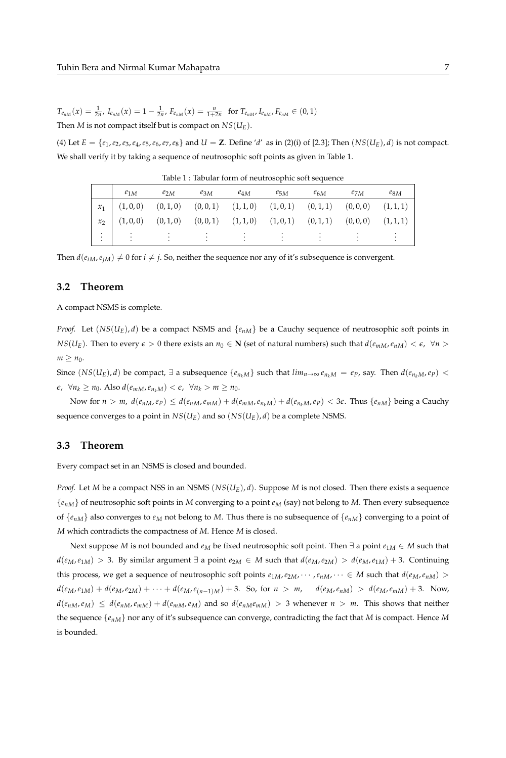$T_{e_{nM}}(x) = \frac{1}{2n}$ ,  $I_{e_{nM}}(x) = 1 - \frac{1}{2n}$ ,  $F_{e_{nM}}(x) = \frac{n}{1+2n}$  for  $T_{e_{nM}}$ ,  $I_{e_{nM}}$ ,  $F_{e_{nM}} \in (0,1)$ Then *M* is not compact itself but is compact on  $NS(U_E)$ .

(4) Let  $E = \{e_1, e_2, e_3, e_4, e_5, e_6, e_7, e_8\}$  and  $U = \mathbf{Z}$ . Define 'd' as in (2)(i) of [2.3]; Then  $(NS(U_E), d)$  is not compact. We shall verify it by taking a sequence of neutrosophic soft points as given in Table 1.

| $e_{1M}$ | $e_{2M}$ $e_{3M}$                                                                                                            | $e_{4M}$ | $e_{5M}$ | $e_{6M}$ | $e_{7M}$ | $e_{8M}$ |
|----------|------------------------------------------------------------------------------------------------------------------------------|----------|----------|----------|----------|----------|
|          | $x_1 \quad (1,0,0) \qquad (0,1,0) \qquad (0,0,1) \qquad (1,1,0) \qquad (1,0,1) \qquad (0,1,1) \qquad (0,0,0) \qquad (1,1,1)$ |          |          |          |          |          |
|          | $x_2$ (1,0,0) (0,1,0) (0,0,1) (1,1,0) (1,0,1) (0,1,1) (0,0,0) (1,1,1)                                                        |          |          |          |          |          |
|          |                                                                                                                              |          |          |          |          |          |

Table 1 : Tabular form of neutrosophic soft sequence

Then  $d(e_{iM}, e_{iM}) \neq 0$  for  $i \neq j$ . So, neither the sequence nor any of it's subsequence is convergent.

#### **3.2 Theorem**

A compact NSMS is complete.

*Proof.* Let  $(NS(U_E), d)$  be a compact NSMS and  $\{e_{nM}\}$  be a Cauchy sequence of neutrosophic soft points in *NS*(*U<sub>E</sub>*). Then to every  $\epsilon > 0$  there exists an  $n_0 \in \mathbb{N}$  (set of natural numbers) such that  $d(e_{mM}, e_{nM}) < \epsilon$ ,  $\forall n >$  $m \geq n_0$ .

Since  $(NS(U_E), d)$  be compact,  $\exists$  a subsequence  $\{e_{n_kM}\}\$  such that  $lim_{n\to\infty}e_{n_kM}=ep$ , say. Then  $d(e_{n_kM},ep)$  <  $\epsilon$ ,  $\forall n_k \geq n_0$ . Also  $d(e_{mM}, e_{n_kM}) < \epsilon$ ,  $\forall n_k > m \geq n_0$ .

Now for  $n > m$ ,  $d(e_{nM}, e_p) \leq d(e_{nM}, e_{mM}) + d(e_{mM}, e_{n_kM}) + d(e_{n_kM}, e_p) < 3\epsilon$ . Thus  $\{e_{nM}\}$  being a Cauchy sequence converges to a point in  $NS(U_F)$  and so  $(NS(U_F), d)$  be a complete NSMS.

### **3.3 Theorem**

Every compact set in an NSMS is closed and bounded.

*Proof.* Let *M* be a compact NSS in an NSMS (*NS*(*UE*), *d*). Suppose *M* is not closed. Then there exists a sequence {*enM*} of neutrosophic soft points in *M* converging to a point *e<sup>M</sup>* (say) not belong to *M*. Then every subsequence of  $\{e_{nM}\}\$ also converges to  $e_M$  not belong to *M*. Thus there is no subsequence of  $\{e_{nM}\}\$ converging to a point of *M* which contradicts the compactness of *M*. Hence *M* is closed.

Next suppose *M* is not bounded and *e<sup>M</sup>* be fixed neutrosophic soft point. Then ∃ a point *e*1*<sup>M</sup>* ∈ *M* such that  $d(e_M, e_{1M}) > 3$ . By similar argument  $\exists$  a point  $e_{2M} \in M$  such that  $d(e_M, e_{2M}) > d(e_M, e_{1M}) + 3$ . Continuing this process, we get a sequence of neutrosophic soft points  $e_{1M}$ ,  $e_{2M}$ ,  $\cdots$ ,  $e_{nM}$ ,  $\cdots \in M$  such that  $d(e_M, e_{nM})$  >  $d(e_M, e_{1M}) + d(e_M, e_{2M}) + \cdots + d(e_M, e_{(n-1)M}) + 3$ . So, for  $n > m$ ,  $d(e_M, e_{nM}) > d(e_M, e_{mM}) + 3$ . Now,  $d(e_{nM}, e_M) \leq d(e_{nM}, e_{mM}) + d(e_{mM}, e_M)$  and so  $d(e_{nM}e_{mM}) > 3$  whenever  $n > m$ . This shows that neither the sequence {*enM*} nor any of it's subsequence can converge, contradicting the fact that *M* is compact. Hence *M* is bounded.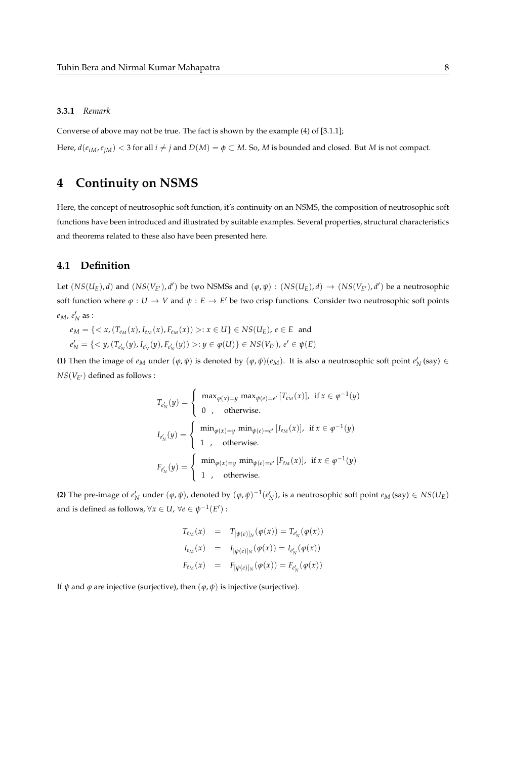#### **3.3.1** *Remark*

Converse of above may not be true. The fact is shown by the example (4) of [3.1.1];

Here,  $d(e_{iM}, e_{iM}) < 3$  for all  $i \neq j$  and  $D(M) = \phi \subset M$ . So, M is bounded and closed. But M is not compact.

# **4 Continuity on NSMS**

Here, the concept of neutrosophic soft function, it's continuity on an NSMS, the composition of neutrosophic soft functions have been introduced and illustrated by suitable examples. Several properties, structural characteristics and theorems related to these also have been presented here.

# **4.1 Definition**

Let  $(NS(U_E), d)$  and  $(NS(V_{E'}), d')$  be two NSMSs and  $(\varphi, \psi) : (NS(U_E), d) \to (NS(V_{E'}), d')$  be a neutrosophic soft function where  $\varphi : U \to V$  and  $\psi : E \to E'$  be two crisp functions. Consider two neutrosophic soft points  $e_M$ ,  $e'_N$  as :

 $e_M = \{ \langle x, (T_{e_M}(x), I_{e_M}(x), F_{e_M}(x)) \rangle : x \in U \} \in NS(U_E)$ ,  $e \in E$  and  $e'_{N} = \{ \langle y, (T_{e'_{N}}(y), I_{e'_{N}}(y), F_{e'_{N}}(y)) \rangle : y \in \varphi(U) \} \in NS(V_{E}), e' \in \psi(E)$ 

**(1)** Then the image of  $e_M$  under  $(\varphi, \psi)$  is denoted by  $(\varphi, \psi)(e_M)$ . It is also a neutrosophic soft point  $e'_N$  (say)  $\in$  $NS(V_{E'})$  defined as follows :

$$
T_{e'_N}(y) = \begin{cases} \max_{\varphi(x)=y} \max_{\psi(e)=e'} [T_{e_M}(x)], & \text{if } x \in \varphi^{-1}(y) \\ 0, & \text{otherwise.} \end{cases}
$$
  

$$
I_{e'_N}(y) = \begin{cases} \min_{\varphi(x)=y} \min_{\psi(e)=e'} [I_{e_M}(x)], & \text{if } x \in \varphi^{-1}(y) \\ 1, & \text{otherwise.} \end{cases}
$$
  

$$
F_{e'_N}(y) = \begin{cases} \min_{\varphi(x)=y} \min_{\psi(e)=e'} [F_{e_M}(x)], & \text{if } x \in \varphi^{-1}(y) \\ 1, & \text{otherwise.} \end{cases}
$$

**(2)** The pre-image of  $e'_N$  under  $(\varphi, \psi)$ , denoted by  $(\varphi, \psi)^{-1}(e'_N)$ , is a neutrosophic soft point  $e_M$  (say)  $\in NS(U_E)$ and is defined as follows,  $\forall x \in U$ ,  $\forall e \in \psi^{-1}(E')$ :

$$
T_{e_M}(x) = T_{[\psi(e)]_N}(\varphi(x)) = T_{e'_N}(\varphi(x))
$$
  
\n
$$
I_{e_M}(x) = I_{[\psi(e)]_N}(\varphi(x)) = I_{e'_N}(\varphi(x))
$$
  
\n
$$
F_{e_M}(x) = F_{[\psi(e)]_N}(\varphi(x)) = F_{e'_N}(\varphi(x))
$$

If *ψ* and *φ* are injective (surjective), then  $(φ, ψ)$  is injective (surjective).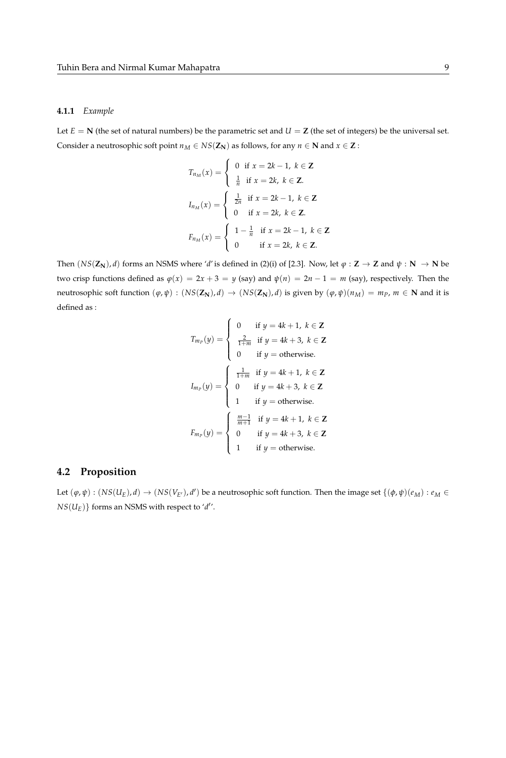#### **4.1.1** *Example*

Let  $E = N$  (the set of natural numbers) be the parametric set and  $U = Z$  (the set of integers) be the universal set. Consider a neutrosophic soft point  $n_M \in NS(Z_N)$  as follows, for any  $n \in \mathbb{N}$  and  $x \in \mathbb{Z}$ :

$$
T_{n_M}(x) = \begin{cases} 0 & \text{if } x = 2k - 1, \ k \in \mathbb{Z} \\ \frac{1}{n} & \text{if } x = 2k, \ k \in \mathbb{Z}. \end{cases}
$$

$$
I_{n_M}(x) = \begin{cases} \frac{1}{2n} & \text{if } x = 2k - 1, \ k \in \mathbb{Z} \\ 0 & \text{if } x = 2k, \ k \in \mathbb{Z}. \end{cases}
$$

$$
F_{n_M}(x) = \begin{cases} 1 - \frac{1}{n} & \text{if } x = 2k - 1, \ k \in \mathbb{Z} \\ 0 & \text{if } x = 2k, \ k \in \mathbb{Z}. \end{cases}
$$

Then  $(NS(\mathbb{Z}_N), d)$  forms an NSMS where '*d'* is defined in (2)(i) of [2.3]. Now, let  $\varphi : \mathbb{Z} \to \mathbb{Z}$  and  $\psi : \mathbb{N} \to \mathbb{N}$  be two crisp functions defined as  $\varphi(x) = 2x + 3 = y$  (say) and  $\psi(n) = 2n - 1 = m$  (say), respectively. Then the neutrosophic soft function  $(\varphi, \psi) : (NS(\mathbf{Z}_N), d) \to (NS(\mathbf{Z}_N), d)$  is given by  $(\varphi, \psi)(n_M) = m_P$ ,  $m \in \mathbf{N}$  and it is defined as :

$$
I_{m_P}(y) = \begin{cases} 0 & \text{if } y = 4k + 1, \ k \in \mathbb{Z} \\ \frac{2}{1+m} & \text{if } y = 4k + 3, \ k \in \mathbb{Z} \\ 0 & \text{if } y = \text{otherwise.} \end{cases}
$$

$$
I_{m_P}(y) = \begin{cases} \frac{1}{1+m} & \text{if } y = 4k + 1, \ k \in \mathbb{Z} \\ 0 & \text{if } y = 4k + 3, \ k \in \mathbb{Z} \\ 1 & \text{if } y = \text{otherwise.} \end{cases}
$$

$$
F_{m_P}(y) = \begin{cases} \frac{m-1}{m+1} & \text{if } y = 4k + 1, \ k \in \mathbb{Z} \\ 0 & \text{if } y = 4k + 3, \ k \in \mathbb{Z} \\ 1 & \text{if } y = \text{otherwise.} \end{cases}
$$

# **4.2 Proposition**

Let  $(\varphi,\psi):(NS(U_E),d)\to (NS(V_{E'}),d')$  be a neutrosophic soft function. Then the image set  $\{(\varphi,\psi)(e_M):e_M\in$  $NS(U_E)$ } forms an NSMS with respect to '*d'*'.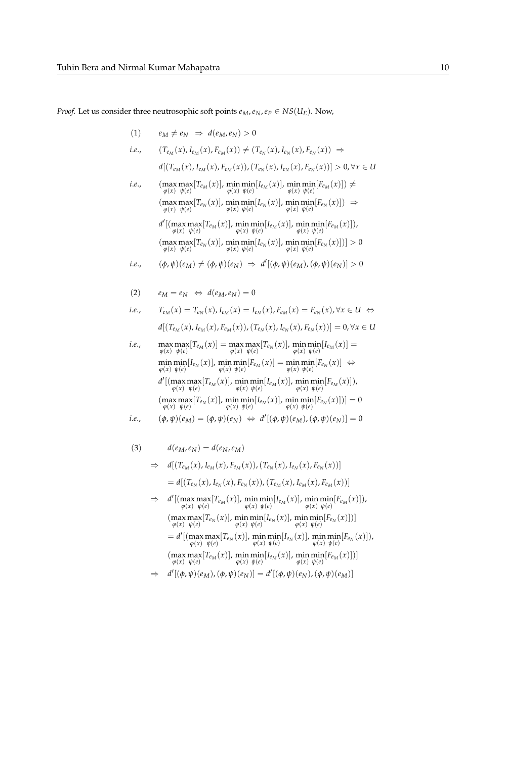*Proof.* Let us consider three neutrosophic soft points  $e_M$ ,  $e_N$ ,  $e_P \in NS(U_E)$ . Now,

(1) 
$$
e_M \neq e_N \Rightarrow d(e_M, e_N) > 0
$$
  
\ni.e.,  $(T_{e_M}(x), I_{e_M}(x), F_{e_M}(x)) \neq (T_{e_N}(x), I_{e_N}(x), F_{e_N}(x)) \Rightarrow$   
\n $d[(T_{e_M}(x), I_{e_M}(x), F_{e_M}(x)), (T_{e_N}(x), I_{e_N}(x), F_{e_N}(x))] > 0, \forall x \in U$   
\ni.e.,  $(\max_{\varphi(x)} \max_{\psi(e)} [T_{e_M}(x)], \min_{\varphi(x)} \min_{\psi(e)} [I_{e_M}(x)], \min_{\varphi(x)} \min_{\psi(e)} [F_{e_M}(x)]) \neq$   
\n $(\max_{\varphi(x)} \max_{\psi(e)} [T_{e_N}(x)], \min_{\varphi(x)} \min_{\psi(e)} [I_{e_N}(x)], \min_{\varphi(x)} \min_{\psi(e)} [F_{e_N}(x)]) \Rightarrow$   
\n $d'[(\max_{\varphi(x)} \max_{\psi(e)} [T_{e_M}(x)], \min_{\varphi(x)} \min_{\psi(e)} [I_{e_M}(x)], \min_{\varphi(x)} \min_{\psi(e)} [F_{e_M}(x)]),$   
\n $(\max_{\varphi(x)} \max_{\psi(e)} [T_{e_N}(x)], \min_{\varphi(x)} \min_{\psi(e)} [I_{e_N}(x)] \neq$   
\n $(\max_{\varphi(x)} \max_{\psi(e)} [T_{e_N}(x)], \min_{\varphi(x)} \min_{\psi(e)} [F_{e_N}(x)]) > 0$   
\ni.e.,  $(\varphi, \psi)(e_M) \neq (\varphi, \psi)(e_N) \Rightarrow d'[(\varphi, \psi)(e_M), (\varphi, \psi)(e_N)] > 0$ 

(2) 
$$
e_M = e_N \Leftrightarrow d(e_M, e_N) = 0
$$
  
\n*i.e.*,  $T_{e_M}(x) = T_{e_N}(x), I_{e_M}(x) = I_{e_N}(x), F_{e_M}(x) = F_{e_N}(x), \forall x \in U \Leftrightarrow d[(T_{e_M}(x), I_{e_M}(x), F_{e_M}(x)), (T_{e_N}(x), I_{e_N}(x), F_{e_N}(x))] = 0, \forall x \in U$ 

i.e., 
$$
\max_{\varphi(x)} \max_{\psi(e)} [T_{e_M}(x)] = \max_{\varphi(x)} \max_{\psi(e)} [T_{e_N}(x)], \min_{\varphi(x)} \min_{\psi(e)} [I_{e_M}(x)] =
$$
\n
$$
\min_{\varphi(x)} \min_{\psi(e)} [I_{e_N}(x)], \min_{\varphi(x)} \min_{\psi(e)} [F_{e_M}(x)] = \min_{\varphi(x)} \min_{\psi(e)} [F_{e_N}(x)] \Leftrightarrow
$$
\n
$$
d'[(\max_{\varphi(x)} \max_{\psi(e)} [T_{e_M}(x)], \min_{\varphi(x)} \min_{\psi(e)} [I_{e_M}(x)], \min_{\varphi(x)} \min_{\psi(e)} [F_{e_M}(x)]],
$$
\n
$$
(\max_{\varphi(x)} \max_{\psi(e)} [T_{e_N}(x)], \min_{\varphi(x)} \min_{\psi(e)} [I_{e_N}(x)], \min_{\varphi(x)} \min_{\psi(e)} [F_{e_N}(x)]] = 0
$$
\n*i.e.,*\n
$$
(\varphi, \psi)(e_M) = (\varphi, \psi)(e_N) \Leftrightarrow d'[(\varphi, \psi)(e_M), (\varphi, \psi)(e_N)] = 0
$$

$$
(3) \t d(e_M, e_N) = d(e_N, e_M)
$$

$$
\Rightarrow d[(T_{e_M}(x), I_{e_M}(x), F_{e_M}(x)), (T_{e_N}(x), I_{e_N}(x), F_{e_N}(x))]
$$
  
=  $d[(T_{e_N}(x), I_{e_N}(x), F_{e_N}(x)), (T_{e_M}(x), I_{e_M}(x), F_{e_M}(x))]$   

$$
\Rightarrow d'[(\max_{\varphi(x)} \max_{\psi(e)} [T_{e_M}(x)], \min_{\varphi(x)} \min_{\psi(e)} [I_{e_M}(x)], \min_{\varphi(x)} \min_{\psi(e)} [F_{e_M}(x)]),
$$

 $(\max_{\varphi(x)}\max_{\psi(e)}[T_{e_N}(x)], \min_{\varphi(x)}\min_{\psi(e)}[I_{e_N}(x)], \min_{\varphi(x)}\min_{\psi(e)}[F_{e_N}(x)])]$  $=d'[(\max_{\varphi(x)}\max_{\psi(e)}[T_{e_N}(x)],\min_{\varphi(x)}\min_{\psi(e)}[I_{e_N}(x)],\min_{\varphi(x)}\min_{\psi(e)}[F_{e_N}(x)]),$  $(\max_{\text{max}} [T_{e_M}(x)], \min_{\text{min}} [I_{e_M}(x)], \min_{\text{min}} [F_{e_M}(x)])$ *ϕ*(*x*) *ψ*(*e*)  $\varphi(x) \psi(e)$   $\varphi(x) \psi(e)$ 

$$
\Rightarrow d'[(\phi,\psi)(e_M),(\phi,\psi)(e_N)] = d'[(\phi,\psi)(e_N),(\phi,\psi)(e_M)]
$$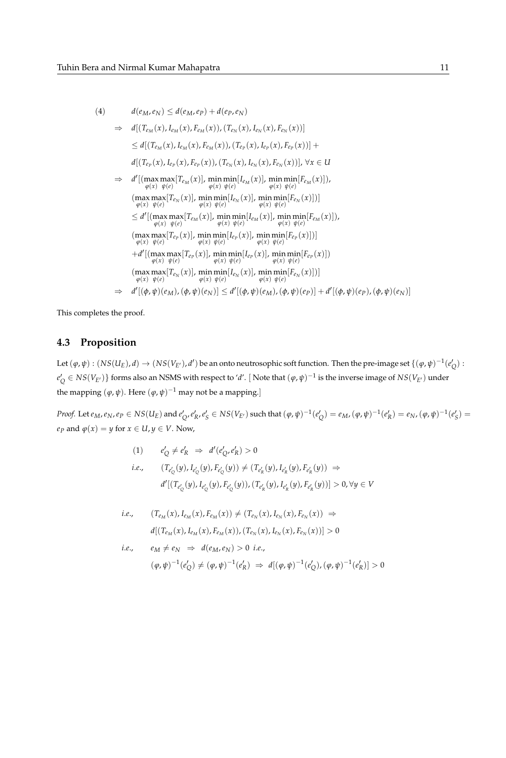$$
(4) \t d(e_M,e_N) \leq d(e_M,e_P) + d(e_P,e_N)
$$

⇒ 
$$
d[(T_{e_M}(x), I_{e_M}(x), F_{e_M}(x)), (T_{e_N}(x), I_{e_N}(x), F_{e_N}(x))]
$$
  
\n $\leq d[(T_{e_M}(x), I_{e_M}(x), F_{e_M}(x)), (T_{e_P}(x), I_{e_P}(x), F_{e_P}(x))] +$   
\n $d[(T_{e_P}(x), I_{e_P}(x), F_{e_P}(x)), (T_{e_N}(x), I_{e_N}(x), F_{e_N}(x))], \forall x \in U$   
\n⇒  $d'[(\max \max_{\varphi(x)} [T_{e_M}(x)], \min \min_{\varphi(x)} [I_{e_M}(x)], \min \min_{\varphi(x)} [F_{e_M}(x)]),$   
\n $(\max \max_{\varphi(x)} [T_{e_N}(x)], \min \min_{\varphi(x)} [I_{e_N}(x)], \min \min_{\varphi(x)} [F_{e_N}(x)]]$   
\n $\leq d'[(\max \max_{\varphi(x)} [T_{e_M}(x)], \min \min_{\varphi(x)} [I_{e_M}(x)], \min \min_{\varphi(x)} [F_{e_M}(x)]),$   
\n $(\max \max_{\varphi(x)} [T_{e_P}(x)], \min \min_{\varphi(x)} [I_{e_P}(x)], \min \min_{\varphi(x)} [F_{e_P}(x)]]$   
\n $+d'[(\max \max_{\varphi(x)} [T_{e_P}(x)], \min \min_{\varphi(x)} [I_{e_P}(x)], \min \min_{\varphi(x)} [F_{e_P}(x)]]$   
\n+ $d'[(\max \max_{\varphi(x)} [T_{e_P}(x)], \min \min_{\varphi(x)} [I_{e_P}(x)], \min \min_{\varphi(x)} [F_{e_P}(x)])$   
\n $(\max \max_{\varphi(x)} [T_{e_N}(x)], \min \min_{\varphi(x)} [I_{e_N}(x)], \min \min_{\varphi(x)} [F_{e_N}(x)])]$   
\n⇒  $d'[(\varphi, \psi)(e_M), (\varphi, \psi)(e_N)] \leq d'[(\varphi, \psi)(e_M), (\varphi, \psi)(e_P)] + d'[(\varphi, \psi)(e_P), (\varphi, \psi)(e_N)]$ 

This completes the proof.

# **4.3 Proposition**

Let  $(\varphi,\psi):(NS(U_E),d)\to (NS(V_{E'}),d')$  be an onto neutrosophic soft function. Then the pre-image set  $\{(\varphi,\psi)^{-1}(e_Q'):\phi\}\subset\phi$  $e_Q' \in NS(V_{E'})\}$  forms also an NSMS with respect to '*d'*. [ Note that  $(\varphi, \psi)^{-1}$  is the inverse image of  $NS(V_{E'})$  under the mapping  $(\varphi, \psi)$ . Here  $(\varphi, \psi)^{-1}$  may not be a mapping.]

*Proof.* Let  $e_M$ ,  $e_N$ ,  $e_P \in NS(U_E)$  and  $e'_Q$ ,  $e'_K$ ,  $e'_S \in NS(V_{E'})$  such that  $(\varphi, \psi)^{-1}(e'_Q) = e_M$ ,  $(\varphi, \psi)^{-1}(e'_R) = e_N$ ,  $(\varphi, \psi)^{-1}(e'_S) = e_M$ *e*<sub>*P*</sub> and  $\varphi(x) = y$  for  $x \in U, y \in V$ . Now,

$$
(1) \qquad e'_{Q} \neq e'_{R} \Rightarrow d'(e'_{Q}, e'_{R}) > 0
$$
\n
$$
i.e., \qquad (T_{e'_{Q}}(y), I_{e'_{Q}}(y), F_{e'_{Q}}(y)) \neq (T_{e'_{R}}(y), I_{e'_{R}}(y), F_{e'_{R}}(y)) \Rightarrow
$$
\n
$$
d'[(T_{e'_{Q}}(y), I_{e'_{Q}}(y), F_{e'_{Q}}(y)), (T_{e'_{R}}(y), I_{e'_{R}}(y), F_{e'_{R}}(y))] > 0, \forall y \in V
$$

i.e., 
$$
(T_{e_M}(x), I_{e_M}(x), F_{e_M}(x)) \neq (T_{e_N}(x), I_{e_N}(x), F_{e_N}(x)) \Rightarrow
$$
  
\n $d[(T_{e_M}(x), I_{e_M}(x), F_{e_M}(x)), (T_{e_N}(x), I_{e_N}(x), F_{e_N}(x))] > 0$   
\ni.e.,  $e_M \neq e_N \Rightarrow d(e_M, e_N) > 0$  i.e.,  
\n $(\varphi, \psi)^{-1}(e'_Q) \neq (\varphi, \psi)^{-1}(e'_R) \Rightarrow d[(\varphi, \psi)^{-1}(e'_Q), (\varphi, \psi)^{-1}(e'_R)] > 0$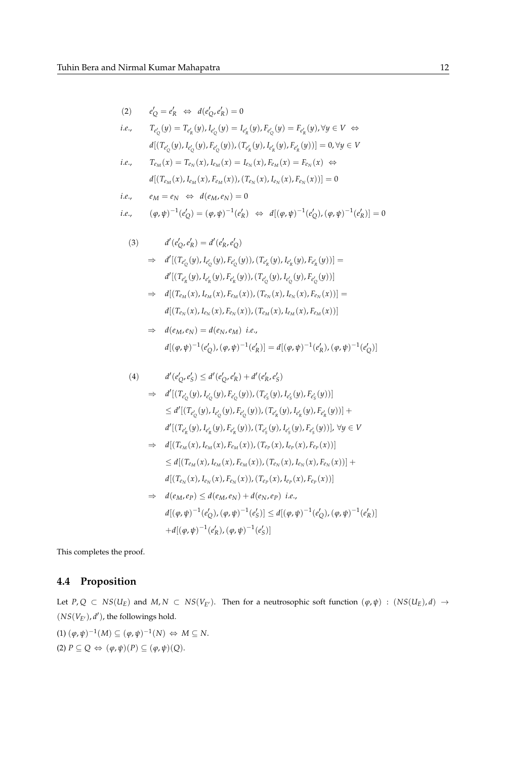$$
(2) \qquad e'_Q = e'_R \iff d(e'_Q, e'_R) = 0
$$

i.e., 
$$
T_{e'_{Q}}(y) = T_{e'_{R}}(y), I_{e'_{Q}}(y) = I_{e'_{R}}(y), F_{e'_{Q}}(y) = F_{e'_{R}}(y), \forall y \in V \Leftrightarrow
$$

$$
d[(T_{e'_{Q}}(y), I_{e'_{Q}}(y), F_{e'_{Q}}(y)), (T_{e'_{R}}(y), I_{e'_{R}}(y), F_{e'_{R}}(y))] = 0, \forall y \in V
$$

i.e., 
$$
T_{e_M}(x) = T_{e_N}(x), I_{e_M}(x) = I_{e_N}(x), F_{e_M}(x) = F_{e_N}(x) \Leftrightarrow
$$
  
\n $d[(T_{e_M}(x), I_{e_M}(x), F_{e_M}(x)), (T_{e_N}(x), I_{e_N}(x), F_{e_N}(x))] = 0$ 

i.e., 
$$
e_M = e_N \Leftrightarrow d(e_M, e_N) = 0
$$

i.e., 
$$
(\varphi, \psi)^{-1}(e'_{Q}) = (\varphi, \psi)^{-1}(e'_{R}) \Leftrightarrow d[(\varphi, \psi)^{-1}(e'_{Q}), (\varphi, \psi)^{-1}(e'_{R})] = 0
$$

(3) 
$$
d'(e'_{Q}, e'_{R}) = d'(e'_{R}, e'_{Q})
$$

$$
\Rightarrow d'[(T_{e'_{Q}}(y), I_{e'_{Q}}(y), F_{e'_{Q}}(y)), (T_{e'_{R}}(y), I_{e'_{R}}(y), F_{e'_{R}}(y))] =
$$

$$
d'[(T_{e'_{R}}(y), I_{e'_{R}}(y), F_{e'_{R}}(y)), (T_{e'_{Q}}(y), I_{e'_{Q}}(y), F_{e'_{Q}}(y))] \Rightarrow d[(T_{e_{M}}(x), I_{e_{M}}(x), F_{e_{M}}(x)), (T_{e_{N}}(x), I_{e_{N}}(x), F_{e_{M}}(x))] =
$$

$$
d[(T_{e_{N}}(x), I_{e_{N}}(x), F_{e_{N}}(x)), (T_{e_{M}}(x), I_{e_{M}}(x), F_{e_{M}}(x))]
$$

$$
\Rightarrow d(e_M, e_N) = d(e_N, e_M) \text{ i.e.,}
$$
  

$$
d[(\varphi, \psi)^{-1}(e'_Q), (\varphi, \psi)^{-1}(e'_R)] = d[(\varphi, \psi)^{-1}(e'_R), (\varphi, \psi)^{-1}(e'_Q)]
$$

(4) 
$$
d'(e'_{Q}, e'_{S}) \leq d'(e'_{Q}, e'_{R}) + d'(e'_{R}, e'_{S})
$$
  
\n
$$
\Rightarrow d'[ (T_{e'_{Q}}(y), I_{e'_{Q}}(y), F_{e'_{Q}}(y)), (T_{e'_{S}}(y), I_{e'_{S}}(y), F_{e'_{S}}(y))]
$$
  
\n
$$
\leq d'[ (T_{e'_{Q}}(y), I_{e'_{Q}}(y), F_{e'_{Q}}(y)), (T_{e'_{R}}(y), I_{e'_{R}}(y), F_{e'_{R}}(y)) ] +
$$
  
\n
$$
d'[ (T_{e'_{R}}(y), I_{e'_{R}}(y), F_{e'_{R}}(y)), (T_{e'_{S}}(y), I_{e'_{S}}(y), F_{e'_{S}}(y)) ], \forall y \in V
$$
  
\n
$$
\Rightarrow d[(T_{e_M}(x), I_{e_M}(x), F_{e_M}(x)), (T_{e_P}(x), I_{e_P}(x), F_{e_P}(x)) ]
$$
  
\n
$$
\leq d[(T_{e_M}(x), I_{e_M}(x), F_{e_M}(x)), (T_{e_N}(x), I_{e_N}(x), F_{e_N}(x)) ] +
$$
  
\n
$$
d[(T_{e_N}(x), I_{e_N}(x), F_{e_N}(x)), (T_{e_P}(x), I_{e_P}(x), F_{e_P}(x)) ]
$$
  
\n
$$
\Rightarrow d(e_M, e_P) \leq d(e_M, e_N) + d(e_N, e_P) \text{ i.e.,}
$$
  
\n
$$
d[(\varphi, \psi)^{-1}(e'_{Q}), (\varphi, \psi)^{-1}(e'_{S}) ] \leq d[(\varphi, \psi)^{-1}(e'_{Q}), (\varphi, \psi)^{-1}(e'_{R}) ]
$$
  
\n
$$
+ d[(\varphi, \psi)^{-1}(e'_{R}), (\varphi, \psi)^{-1}(e'_{S}) ]
$$

This completes the proof.

# **4.4 Proposition**

Let *P*, *Q* ⊂ *NS*(*U<sub>E</sub>*) and *M*, *N* ⊂ *NS*(*V<sub>E<sup>'*</sub>)</sub>. Then for a neutrosophic soft function  $(\varphi, \psi)$  :  $(NS(U_E), d)$  →</sub></sup>  $(NS(V_{E})), d')$ , the followings hold.

$$
(1) \ (\varphi, \psi)^{-1}(M) \subseteq (\varphi, \psi)^{-1}(N) \Leftrightarrow M \subseteq N.
$$
  

$$
(2) \ P \subseteq Q \Leftrightarrow (\varphi, \psi)(P) \subseteq (\varphi, \psi)(Q).
$$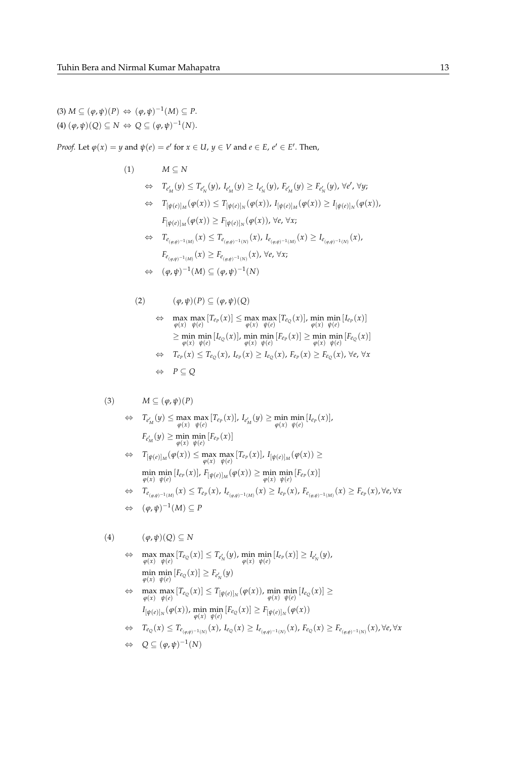$(3) M \subseteq (\varphi, \psi)(P) \Leftrightarrow (\varphi, \psi)^{-1}(M) \subseteq P.$  $(4)$   $(\varphi, \psi)(Q) \subseteq N \Leftrightarrow Q \subseteq (\varphi, \psi)^{-1}(N).$ 

*Proof.* Let  $\varphi(x) = y$  and  $\psi(e) = e'$  for  $x \in U$ ,  $y \in V$  and  $e \in E$ ,  $e' \in E'$ . Then,

(1) 
$$
M \subseteq N
$$
  
\n $\Leftrightarrow T_{e'_M}(y) \le T_{e'_N}(y), I_{e'_M}(y) \ge I_{e'_N}(y), F_{e'_M}(y) \ge F_{e'_N}(y), \forall e', \forall y;$   
\n $\Leftrightarrow T_{[\psi(e)]_M}(\varphi(x)) \le T_{[\psi(e)]_N}(\varphi(x)), I_{[\psi(e)]_M}(\varphi(x)) \ge I_{[\psi(e)]_N}(\varphi(x)),$   
\n $F_{[\psi(e)]_M}(\varphi(x)) \ge F_{[\psi(e)]_N}(\varphi(x), \forall e, \forall x;$   
\n $\Leftrightarrow T_{e_{(\varphi,\psi)^{-1}(M)}}(x) \le T_{e_{(\varphi,\psi)^{-1}(N)}}(x), I_{e_{(\varphi,\psi)^{-1}(M)}}(x) \ge I_{e_{(\varphi,\psi)^{-1}(N)}}(x),$   
\n $F_{e_{(\varphi,\psi)^{-1}(M)}}(x) \ge F_{e_{(\varphi,\psi)^{-1}(N)}}(x), \forall e, \forall x;$   
\n $\Leftrightarrow (\varphi,\psi)^{-1}(M) \subseteq (\varphi,\psi)^{-1}(N)$ 

(2) 
$$
(\varphi, \psi)(P) \subseteq (\varphi, \psi)(Q)
$$
  
\n
$$
\Leftrightarrow \max_{\varphi(x)} \max_{\psi(e)} [T_{e_P}(x)] \le \max_{\varphi(x)} \max_{\psi(e)} [T_{e_Q}(x)], \min_{\varphi(x)} \min_{\psi(e)} [I_{e_P}(x)]
$$
  
\n
$$
\ge \min_{\varphi(x)} \min_{\psi(e)} [I_{e_Q}(x)], \min_{\varphi(x)} \min_{\psi(e)} [F_{e_P}(x)] \ge \min_{\varphi(x)} \min_{\psi(e)} [F_{e_Q}(x)]
$$
  
\n
$$
\Leftrightarrow T_{e_P}(x) \le T_{e_Q}(x), I_{e_P}(x) \ge I_{e_Q}(x), F_{e_P}(x) \ge F_{e_Q}(x), \forall e, \forall x
$$
  
\n
$$
\Leftrightarrow P \subseteq Q
$$

$$
(3) \qquad M \subseteq (\varphi, \psi)(P)
$$

$$
\Leftrightarrow \quad T_{e'_M}(y) \le \max_{\varphi(x)} \max_{\psi(e)} [T_{e_P}(x)], \ I_{e'_M}(y) \ge \min_{\varphi(x)} \min_{\psi(e)} [I_{e_P}(x)],
$$

$$
F_{e'_M}(y) \ge \min_{\varphi(x)} \min_{\psi(e)} [F_{e_P}(x)]
$$

$$
\Leftrightarrow T_{[\psi(e)]_M}(\varphi(x)) \le \max_{\varphi(x)} \max_{\psi(e)} [T_{e_P}(x)]_r I_{[\psi(e)]_M}(\varphi(x)) \ge
$$
\n
$$
\min_{\varphi(x)} \min_{\psi(e)} [I_{e_P}(x)]_r F_{[\psi(e)]_M}(\varphi(x)) \ge \min_{\varphi(x)} \min_{\psi(e)} [F_{e_P}(x)]
$$
\n
$$
\Leftrightarrow T_{e_{(\varphi,\psi)^{-1}(M)}}(x) \le T_{e_P}(x)_r I_{e_{(\varphi,\psi)^{-1}(M)}}(x) \ge I_{e_P}(x)_r F_{e_{(\varphi,\psi)^{-1}(M)}}(x) \ge F_{e_P}(x)_r \forall e, \forall x
$$

$$
\Leftrightarrow \quad (\varphi,\psi)^{-1}(M) \subseteq P
$$

$$
(4) \qquad (\varphi,\psi)(Q) \subseteq N
$$

$$
\Leftrightarrow \max_{\varphi(x)} \max_{\psi(e)} [T_{e_Q}(x)] \leq T_{e'_N}(y), \min_{\varphi(x)} \min_{\psi(e)} [I_{e_P}(x)] \geq I_{e'_N}(y),
$$
  
\n
$$
\min_{\varphi(x)} \min_{\psi(e)} [F_{e_Q}(x)] \geq F_{e'_N}(y)
$$
  
\n
$$
\Leftrightarrow \max_{\varphi(x)} \max_{\psi(e)} [T_{e_Q}(x)] \leq T_{[\psi(e)]_N}(\varphi(x)), \min_{\varphi(x)} \min_{\psi(e)} [I_{e_Q}(x)] \geq
$$
  
\n
$$
I_{[\psi(e)]_N}(\varphi(x)), \min_{\varphi(x)} \min_{\psi(e)} [F_{e_Q}(x)] \geq F_{[\psi(e)]_N}(\varphi(x))
$$
  
\n
$$
\Leftrightarrow T_{e_Q}(x) \leq T_{e_{(\varphi,\psi)^{-1}(N)}}(x), I_{e_Q}(x) \geq I_{e_{(\varphi,\psi)^{-1}(N)}}(x), F_{e_Q}(x) \geq F_{e_{(\varphi,\psi)^{-1}(N)}}(x), \forall e, \forall x
$$
  
\n
$$
\Leftrightarrow Q \subseteq (\varphi, \psi)^{-1}(N)
$$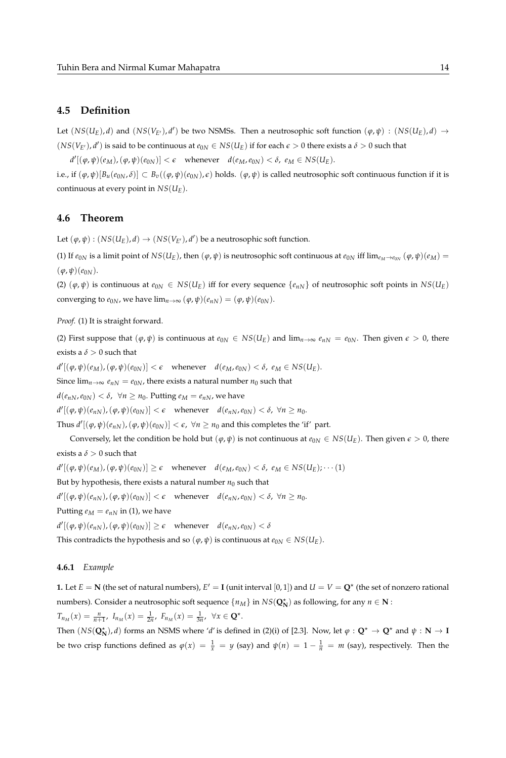### **4.5 Definition**

Let  $(NS(U_E), d)$  and  $(NS(V_{E'}), d')$  be two NSMSs. Then a neutrosophic soft function  $(\varphi, \psi) : (NS(U_E), d) \to$  $(NS(V_{E'})$ , *d'*) is said to be continuous at  $e_{0N} \in NS(U_E)$  if for each  $\epsilon > 0$  there exists a  $\delta > 0$  such that

 $d'[(\varphi, \psi)(e_M), (\varphi, \psi)(e_{0N})] < \epsilon$  whenever  $d(e_M, e_{0N}) < \delta$ ,  $e_M \in NS(U_E)$ .

i.e., if  $(\varphi, \psi)[B_u(e_{0N}, \delta)] \subset B_v((\varphi, \psi)(e_{0N}), \epsilon)$  holds.  $(\varphi, \psi)$  is called neutrosophic soft continuous function if it is continuous at every point in *NS*(*UE*).

### **4.6 Theorem**

Let  $(\varphi, \psi) : (NS(U_E), d) \to (NS(V_{E'}), d')$  be a neutrosophic soft function.

(1) If  $e_{0N}$  is a limit point of  $NS(U_E)$ , then  $(\varphi, \psi)$  is neutrosophic soft continuous at  $e_{0N}$  iff  $\lim_{e_M\to e_{0N}} (\varphi, \psi)(e_M)$  =  $(\varphi, \psi)(e_{0N}).$ 

(2)  $(\varphi, \psi)$  is continuous at  $e_{0N} \in NS(U_E)$  iff for every sequence  $\{e_{nN}\}$  of neutrosophic soft points in  $NS(U_E)$ converging to  $e_{0N}$ , we have  $\lim_{n\to\infty} (\varphi, \psi)(e_{nN}) = (\varphi, \psi)(e_{0N}).$ 

*Proof.* (1) It is straight forward.

(2) First suppose that  $(\varphi, \psi)$  is continuous at  $e_{0N} \in NS(U_E)$  and  $\lim_{n\to\infty} e_{nN} = e_{0N}$ . Then given  $\epsilon > 0$ , there exists a  $\delta > 0$  such that

 $d'[(\varphi, \psi)(e_M), (\varphi, \psi)(e_{0N})] < \epsilon$  whenever  $d(e_M, e_{0N}) < \delta$ ,  $e_M \in NS(U_E)$ .

Since  $\lim_{n\to\infty} e_{nN} = e_{0N}$ , there exists a natural number  $n_0$  such that

 $d(e_{nN}, e_{0N}) < \delta$ ,  $\forall n \geq n_0$ . Putting  $e_M = e_{nN}$ , we have

 $d'[(\varphi, \psi)(e_{nN}), (\varphi, \psi)(e_{0N})] < \epsilon$  whenever  $d(e_{nN}, e_{0N}) < \delta$ ,  $\forall n \ge n_0$ .

Thus  $d'[(\varphi, \psi)(e_{nN}), (\varphi, \psi)(e_{0N})] < \epsilon$ ,  $\forall n \ge n_0$  and this completes the 'if' part.

Conversely, let the condition be hold but  $(\varphi, \psi)$  is not continuous at  $e_{0N} \in NS(U_E)$ . Then given  $\epsilon > 0$ , there exists a  $\delta > 0$  such that

 $d'[(\varphi, \psi)(e_M), (\varphi, \psi)(e_{0N})] \ge \epsilon$  whenever  $d(e_M, e_{0N}) < \delta$ ,  $e_M \in NS(U_E); \dots (1)$ 

But by hypothesis, there exists a natural number  $n_0$  such that

 $d'[(\varphi, \psi)(e_{nN}), (\varphi, \psi)(e_{0N})] < \epsilon$  whenever  $d(e_{nN}, e_{0N}) < \delta$ ,  $\forall n \ge n_0$ .

Putting  $e_M = e_{nN}$  in (1), we have

 $d'[(\varphi, \psi)(e_{nN}), (\varphi, \psi)(e_{0N})] \ge \epsilon$  whenever  $d(e_{nN}, e_{0N}) < \delta$ 

This contradicts the hypothesis and so  $(\varphi, \psi)$  is continuous at  $e_{0N} \in NS(U_E)$ .

#### **4.6.1** *Example*

**1.** Let  $E = N$  (the set of natural numbers),  $E' = I$  (unit interval  $[0,1]$ ) and  $U = V = \mathbf{Q}^*$  (the set of nonzero rational numbers). Consider a neutrosophic soft sequence  $\{n_M\}$  in  $NS(\mathbf{Q}_N^{\star})$  as following, for any  $n \in \mathbf{N}$  :  $T_{n_M}(x) = \frac{n}{n+1}, I_{n_M}(x) = \frac{1}{2n}, F_{n_M}(x) = \frac{1}{3n}, \forall x \in \mathbf{Q}^*$ .

Then  $(NS(\mathbf{Q}_N^{\star}), d)$  forms an NSMS where '*d'* is defined in (2)(i) of [2.3]. Now, let  $\varphi : \mathbf{Q}^{\star} \to \mathbf{Q}^{\star}$  and  $\psi : \mathbf{N} \to \mathbf{I}$ be two crisp functions defined as  $\varphi(x) = \frac{1}{x} = y$  (say) and  $\psi(n) = 1 - \frac{1}{n} = m$  (say), respectively. Then the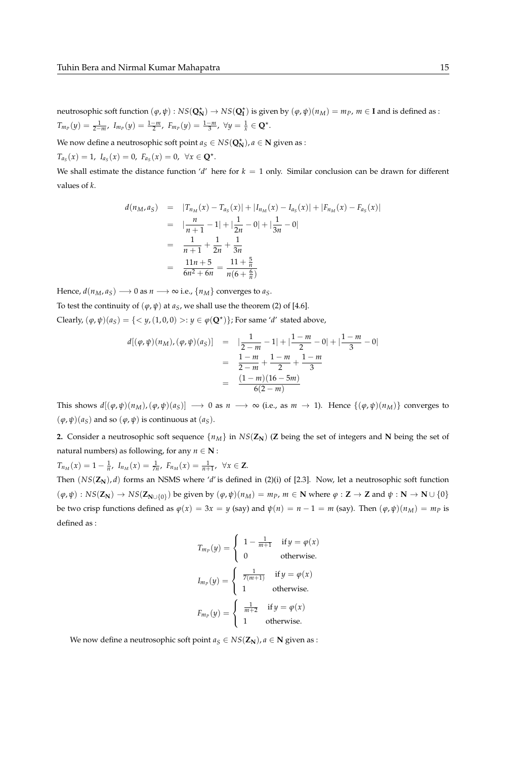neutrosophic soft function  $(\varphi, \psi) : NS(Q_N^{\star}) \to NS(Q_I^{\star})$  is given by  $(\varphi, \psi)(n_M) = m_P$ ,  $m \in I$  and is defined as :  $T_{m_p}(y) = \frac{1}{2-m}$ ,  $I_{m_p}(y) = \frac{1-m}{2}$ ,  $F_{m_p}(y) = \frac{1-m}{3}$ ,  $\forall y = \frac{1}{x} \in \mathbb{Q}^{\star}$ .

We now define a neutrosophic soft point  $a_S \in NS(Q_N^{\star})$ ,  $a \in \mathbb{N}$  given as :

 $T_{a_S}(x) = 1$ ,  $I_{a_S}(x) = 0$ ,  $F_{a_S}(x) = 0$ ,  $\forall x \in \mathbf{Q}^*$ .

We shall estimate the distance function '*d'* here for  $k = 1$  only. Similar conclusion can be drawn for different values of *k*.

$$
d(n_M, a_S) = |T_{n_M}(x) - T_{a_S}(x)| + |I_{n_M}(x) - I_{a_S}(x)| + |F_{n_M}(x) - F_{a_S}(x)|
$$
  
\n
$$
= |\frac{n}{n+1} - 1| + |\frac{1}{2n} - 0| + |\frac{1}{3n} - 0|
$$
  
\n
$$
= \frac{1}{n+1} + \frac{1}{2n} + \frac{1}{3n}
$$
  
\n
$$
= \frac{11n+5}{6n^2+6n} = \frac{11+\frac{5}{n}}{n(6+\frac{6}{n})}
$$

Hence,  $d(n_M, a_S) \longrightarrow 0$  as  $n \longrightarrow \infty$  i.e.,  $\{n_M\}$  converges to  $a_S$ .

To test the continuity of  $(\varphi, \psi)$  at  $a_S$ , we shall use the theorem (2) of [4.6].

Clearly,  $(\varphi, \psi)(a_S) = \{ \langle y, (1, 0, 0) \rangle : g \in \varphi(\mathbf{Q}^*) \}$ ; For same '*d'* stated above,

$$
d[(\varphi, \psi)(n_M), (\varphi, \psi)(a_S)] = |\frac{1}{2 - m} - 1| + |\frac{1 - m}{2} - 0| + |\frac{1 - m}{3} - 0|
$$
  
= 
$$
\frac{1 - m}{2 - m} + \frac{1 - m}{2} + \frac{1 - m}{3}
$$
  
= 
$$
\frac{(1 - m)(16 - 5m)}{6(2 - m)}
$$

This shows  $d[(\varphi, \psi)(n_M), (\varphi, \psi)(a_S)] \rightarrow 0$  as  $n \rightarrow \infty$  (i.e., as  $m \rightarrow 1$ ). Hence  $\{(\varphi, \psi)(n_M)\}$  converges to  $(\varphi, \psi)(a_S)$  and so  $(\varphi, \psi)$  is continuous at  $(a_S)$ .

**2.** Consider a neutrosophic soft sequence  $\{n_M\}$  in  $NS(\mathbb{Z}_N)$  (Z being the set of integers and N being the set of natural numbers) as following, for any  $n \in \mathbb{N}$ :

 $T_{n_M}(x) = 1 - \frac{1}{n}, I_{n_M}(x) = \frac{1}{7n}, F_{n_M}(x) = \frac{1}{n+1}, \forall x \in \mathbb{Z}.$ 

Then (*NS*(**ZN**), *d*) forms an NSMS where '*d*' is defined in (2)(i) of [2.3]. Now, let a neutrosophic soft function  $(\varphi, \psi) : NS(Z_N) \to NS(Z_{N \cup \{0\}})$  be given by  $(\varphi, \psi)(n_M) = m_P$ ,  $m \in \mathbb{N}$  where  $\varphi : \mathbb{Z} \to \mathbb{Z}$  and  $\psi : \mathbb{N} \to \mathbb{N} \cup \{0\}$ be two crisp functions defined as  $\varphi(x) = 3x = y$  (say) and  $\psi(n) = n - 1 = m$  (say). Then  $(\varphi, \psi)(n_M) = m_p$  is defined as :

$$
T_{m_P}(y) = \begin{cases} 1 - \frac{1}{m+1} & \text{if } y = \varphi(x) \\ 0 & \text{otherwise.} \end{cases}
$$
  

$$
I_{m_P}(y) = \begin{cases} \frac{1}{7(m+1)} & \text{if } y = \varphi(x) \\ 1 & \text{otherwise.} \end{cases}
$$
  

$$
F_{m_P}(y) = \begin{cases} \frac{1}{m+2} & \text{if } y = \varphi(x) \\ 1 & \text{otherwise.} \end{cases}
$$

We now define a neutrosophic soft point  $a_S \in NS(\mathbb{Z}_N)$ ,  $a \in \mathbb{N}$  given as :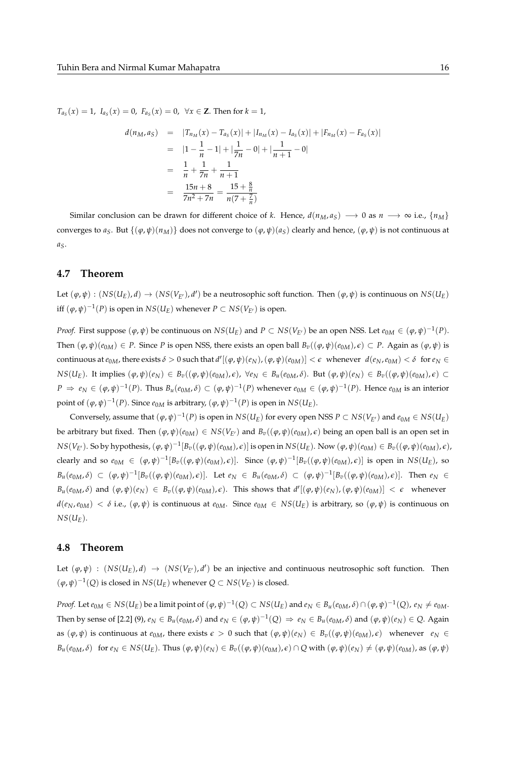*T*<sup>a</sup><sub>*S*</sub>(*x*) = 1, *I*<sub>a</sub><sub>*S*</sub>(*x*) = 0, *F*<sub>a<sub>*S*</sub>(*x*) = 0, ∀*x* ∈ **Z**. Then for *k* = 1,</sub>

$$
d(n_M, a_S) = |T_{n_M}(x) - T_{a_S}(x)| + |I_{n_M}(x) - I_{a_S}(x)| + |F_{n_M}(x) - F_{a_S}(x)|
$$
  
\n
$$
= |1 - \frac{1}{n} - 1| + |\frac{1}{7n} - 0| + |\frac{1}{n+1} - 0|
$$
  
\n
$$
= \frac{1}{n} + \frac{1}{7n} + \frac{1}{n+1}
$$
  
\n
$$
= \frac{15n+8}{7n^2+7n} = \frac{15+\frac{8}{n}}{n(7+\frac{7}{n})}
$$

Similar conclusion can be drawn for different choice of *k*. Hence,  $d(n_M, a_S) \rightarrow 0$  as  $n \rightarrow \infty$  i.e.,  $\{n_M\}$ converges to  $a_S$ . But  $\{(\varphi, \psi)(n_M)\}$  does not converge to  $(\varphi, \psi)(a_S)$  clearly and hence,  $(\varphi, \psi)$  is not continuous at *aS*.

### **4.7 Theorem**

Let  $(\varphi, \psi) : (NS(U_E), d) \to (NS(V_{E'}), d')$  be a neutrosophic soft function. Then  $(\varphi, \psi)$  is continuous on  $NS(U_E)$ iff  $(\varphi, \psi)^{-1}(P)$  is open in  $NS(U_E)$  whenever  $P \subset NS(V_{E'})$  is open.

*Proof.* First suppose  $(\varphi, \psi)$  be continuous on  $NS(U_E)$  and  $P \subset NS(V_{E'})$  be an open NSS. Let  $e_{0M} \in (\varphi, \psi)^{-1}(P)$ . Then  $(\varphi, \psi)(e_{0M}) \in P$ . Since *P* is open NSS, there exists an open ball  $B_v((\varphi, \psi)(e_{0M}), \varepsilon) \subset P$ . Again as  $(\varphi, \psi)$  is continuous at  $e_{0M}$ , there exists  $\delta > 0$  such that  $d'[(\varphi, \psi)(e_N), (\varphi, \psi)(e_{0M})] < \epsilon$  whenever  $d(e_N, e_{0M}) < \delta$  for  $e_N \in$  $NS(U_E)$ . It implies  $(\varphi, \psi)(e_N) \in B_v((\varphi, \psi)(e_{0M}), \epsilon)$ ,  $\forall e_N \in B_u(e_{0M}, \delta)$ . But  $(\varphi, \psi)(e_N) \in B_v((\varphi, \psi)(e_{0M}), \epsilon)$  $P \Rightarrow e_N \in (\varphi, \psi)^{-1}(P)$ . Thus  $B_u(e_{0M}, \delta) \subset (\varphi, \psi)^{-1}(P)$  whenever  $e_{0M} \in (\varphi, \psi)^{-1}(P)$ . Hence  $e_{0M}$  is an interior point of  $(\varphi, \psi)^{-1}(P)$ . Since  $e_{0M}$  is arbitrary,  $(\varphi, \psi)^{-1}(P)$  is open in  $NS(U_E)$ .

Conversely, assume that  $(\varphi, \psi)^{-1}(P)$  is open in  $NS(U_E)$  for every open NSS  $P \subset NS(V_{E'})$  and  $e_{0M} \in NS(U_E)$ be arbitrary but fixed. Then  $(\varphi, \psi)(e_{0M}) \in NS(V_{E'})$  and  $B_v((\varphi, \psi)(e_{0M}), \epsilon)$  being an open ball is an open set in  $NS(V_{E'})$ . So by hypothesis,  $(\varphi, \psi)^{-1}[B_v((\varphi, \psi)(e_{0M}), \epsilon)]$  is open in  $NS(U_E)$ . Now  $(\varphi, \psi)(e_{0M}) \in B_v((\varphi, \psi)(e_{0M}), \epsilon)$ , clearly and so  $e_{0M} \in (\varphi, \psi)^{-1}[B_v((\varphi, \psi)(e_{0M}), \epsilon)].$  Since  $(\varphi, \psi)^{-1}[B_v((\varphi, \psi)(e_{0M}), \epsilon)]$  is open in  $NS(U_E)$ , so  $B_u(e_{0M},\delta) \subset (\varphi,\psi)^{-1}[B_v((\varphi,\psi)(e_{0M}),\epsilon)].$  Let  $e_N \in B_u(e_{0M},\delta) \subset (\varphi,\psi)^{-1}[B_v((\varphi,\psi)(e_{0M}),\epsilon)].$  Then  $e_N \in B_u(e_{0M},\delta)$  $B_u(e_{0M},\delta)$  and  $(\varphi,\psi)(e_N) \in B_v((\varphi,\psi)(e_{0M}),\epsilon)$ . This shows that  $d'[(\varphi,\psi)(e_N),(\varphi,\psi)(e_{0M})] < \epsilon$  whenever  $d(e_N, e_{0M}) < \delta$  i.e.,  $(\varphi, \psi)$  is continuous at  $e_{0M}$ . Since  $e_{0M} \in NS(U_E)$  is arbitrary, so  $(\varphi, \psi)$  is continuous on  $NS(U_F)$ .

### **4.8 Theorem**

Let  $(\varphi, \psi)$  :  $(NS(U_E), d) \to (NS(V_{E'}), d')$  be an injective and continuous neutrosophic soft function. Then  $(\varphi, \psi)^{-1}(Q)$  is closed in  $NS(U_E)$  whenever  $Q \subset NS(V_{E'})$  is closed.

*Proof.* Let  $e_{0M} \in NS(U_E)$  be a limit point of  $(\varphi, \psi)^{-1}(Q) \subset NS(U_E)$  and  $e_N \in B_u(e_{0M}, \delta) \cap (\varphi, \psi)^{-1}(Q)$ ,  $e_N \neq e_{0M}$ . Then by sense of [2.2] (9),  $e_N \in B_u(e_{0M}, \delta)$  and  $e_N \in (\varphi, \psi)^{-1}(Q) \Rightarrow e_N \in B_u(e_{0M}, \delta)$  and  $(\varphi, \psi)(e_N) \in Q$ . Again as  $(\varphi, \psi)$  is continuous at  $e_{0M}$ , there exists  $\epsilon > 0$  such that  $(\varphi, \psi)(e_N) \in B_v((\varphi, \psi)(e_{0M}), \epsilon)$  whenever  $e_N \in$  $B_u(e_{0M}, \delta)$  for  $e_N \in NS(U_E)$ . Thus  $(\varphi, \psi)(e_N) \in B_v((\varphi, \psi)(e_{0M}), \epsilon) \cap Q$  with  $(\varphi, \psi)(e_N) \neq (\varphi, \psi)(e_{0M})$ , as  $(\varphi, \psi)$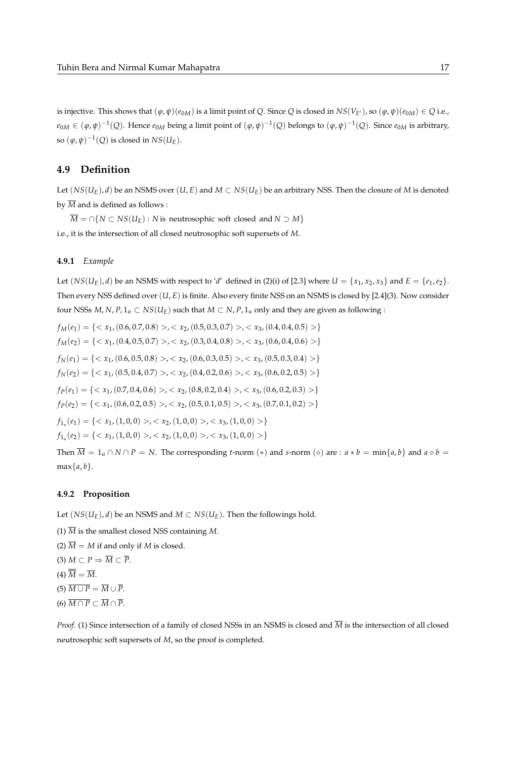is injective. This shows that  $(\varphi, \psi)(e_{0M})$  is a limit point of *Q*. Since *Q* is closed in  $NS(V_{E'})$ , so  $(\varphi, \psi)(e_{0M}) \in Q$  i.e.,  $e_{0M} \in (\varphi, \psi)^{-1}(Q)$ . Hence  $e_{0M}$  being a limit point of  $(\varphi, \psi)^{-1}(Q)$  belongs to  $(\varphi, \psi)^{-1}(Q)$ . Since  $e_{0M}$  is arbitrary, so  $(\varphi, \psi)^{-1}(Q)$  is closed in  $NS(U_E)$ .

## **4.9 Definition**

Let  $(NS(U_F), d)$  be an NSMS over  $(U, E)$  and  $M \subset NS(U_F)$  be an arbitrary NSS. Then the closure of *M* is denoted by  $\overline{M}$  and is defined as follows :

 $\overline{M} = \bigcap \{ N \subset NS(U_E) : N \text{ is neutrosophic soft closed and } N \supset M \}$ 

i.e., it is the intersection of all closed neutrosophic soft supersets of *M*.

#### **4.9.1** *Example*

Let  $(NS(U_E), d)$  be an NSMS with respect to '*d*' defined in (2)(i) of [2.3] where  $U = \{x_1, x_2, x_3\}$  and  $E = \{e_1, e_2\}$ . Then every NSS defined over (*U*, *E*) is finite. Also every finite NSS on an NSMS is closed by [2.4](3). Now consider four NSSs  $M$ ,  $N$ ,  $P$ ,  $1_u \subset NS(U_E)$  such that  $M \subset N$ ,  $P$ ,  $1_u$  only and they are given as following :

$$
f_M(e_1) = \{< x_1, (0.6, 0.7, 0.8) > , < x_2, (0.5, 0.3, 0.7) > , < x_3, (0.4, 0.4, 0.5) > \}
$$
\n
$$
f_M(e_2) = \{< x_1, (0.4, 0.5, 0.7) > , < x_2, (0.3, 0.4, 0.8) > , < x_3, (0.6, 0.4, 0.6) > \}
$$
\n
$$
f_N(e_1) = \{< x_1, (0.6, 0.5, 0.8) > , < x_2, (0.6, 0.3, 0.5) > , < x_3, (0.5, 0.3, 0.4) > \}
$$
\n
$$
f_N(e_2) = \{< x_1, (0.5, 0.4, 0.7) > , < x_2, (0.4, 0.2, 0.6) > , < x_3, (0.6, 0.2, 0.5) > \}
$$
\n
$$
f_P(e_1) = \{< x_1, (0.7, 0.4, 0.6) > , < x_2, (0.8, 0.2, 0.4) > , < x_3, (0.6, 0.2, 0.3) > \}
$$
\n
$$
f_P(e_2) = \{< x_1, (0.6, 0.2, 0.5) > , < x_2, (0.5, 0.1, 0.5) > , < x_3, (0.7, 0.1, 0.2) > \}
$$
\n
$$
f_{1_u}(e_1) = \{< x_1, (1, 0, 0) > , < x_2, (1, 0, 0) > , < x_3, (1, 0, 0) > \}
$$
\n
$$
f_{1_u}(e_2) = \{< x_1, (1, 0, 0) > , < x_2, (1, 0, 0) > , < x_3, (1, 0, 0) > \}
$$
\nThen  $\overline{M} = 1_u \cap N \cap P$ 

 $\log t$ -norm  $(*)$  and *s*-norm  $(\diamond)$  are :  $a * b = \min\{a, b\}$  and  $a \diamond b =$  $max{a,b}.$ 

#### **4.9.2 Proposition**

Let  $(NS(U_E), d)$  be an NSMS and  $M \subset NS(U_E)$ . Then the followings hold.

- (1)  $\overline{M}$  is the smallest closed NSS containing *M*.
- (2)  $\overline{M} = M$  if and only if *M* is closed.
- (3)  $M \subset P \Rightarrow \overline{M} \subset \overline{P}$ .

 $(4) \overline{\overline{M}} = \overline{M}.$ 

- $(5)$   $\overline{M \cup P} = \overline{M} \cup \overline{P}$ .
- $(6)$   $\overline{M \cap P} \subset \overline{M} \cap \overline{P}$ .

*Proof.* (1) Since intersection of a family of closed NSSs in an NSMS is closed and *M* is the intersection of all closed neutrosophic soft supersets of *M*, so the proof is completed.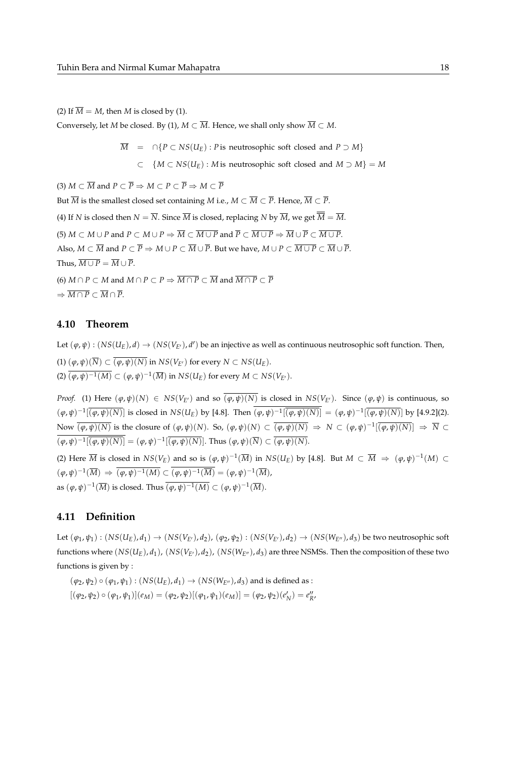(2) If  $\overline{M} = M$ , then *M* is closed by (1).

Conversely, let *M* be closed. By (1),  $M \subset \overline{M}$ . Hence, we shall only show  $\overline{M} \subset M$ .

 $\overline{M}$  = ∩{*P* ⊂ *NS*(*U<sub>E</sub>*) : *P* is neutrosophic soft closed and *P* ⊃ *M*}

⊂ {*M* ⊂ *NS*(*UE*) : *M* is neutrosophic soft closed and *M* ⊃ *M*} = *M*

(3)  $M \subset \overline{M}$  and  $P \subset \overline{P} \Rightarrow M \subset P \subset \overline{P} \Rightarrow M \subset \overline{P}$ But  $\overline{M}$  is the smallest closed set containing *M* i.e.,  $M \subset \overline{M} \subset \overline{P}$ . Hence,  $\overline{M} \subset \overline{P}$ . (4) If *N* is closed then  $N = \overline{N}$ . Since  $\overline{M}$  is closed, replacing *N* by  $\overline{M}$ , we get  $\overline{\overline{M}} = \overline{M}$ . (5)  $M \subset M \cup P$  and  $P \subset M \cup P \Rightarrow \overline{M} \subset \overline{M \cup P}$  and  $\overline{P} \subset \overline{M \cup P} \Rightarrow \overline{M} \cup \overline{P} \subset \overline{M \cup P}$ . Also,  $M \subset \overline{M}$  and  $P \subset \overline{P} \Rightarrow M \cup P \subset \overline{M} \cup \overline{P}$ . But we have,  $M \cup P \subset \overline{M \cup P} \subset \overline{M} \cup \overline{P}$ . Thus,  $\overline{M \cup P} = \overline{M} \cup \overline{P}$ . (6)  $M \cap P \subset M$  and  $M \cap P \subset P \Rightarrow \overline{M \cap P} \subset \overline{M}$  and  $\overline{M \cap P} \subset \overline{P}$  $\Rightarrow \overline{M \cap P} \subset \overline{M} \cap \overline{P}.$ 

### **4.10 Theorem**

Let  $(\varphi, \psi) : (NS(U_E), d) \to (NS(V_{E'}), d')$  be an injective as well as continuous neutrosophic soft function. Then,  $(1)$   $(\varphi, \psi)(\overline{N}) \subset \overline{(\varphi, \psi)(N)}$  in  $NS(V_{F'})$  for every  $N \subset NS(U_F)$ .  $(2)$   $\overline{(\varphi,\psi)^{-1}(M)} \subset (\varphi,\psi)^{-1}(\overline{M})$  in  $NS(U_E)$  for every  $M \subset NS(V_{E'}).$ 

*Proof.* (1) Here  $(\varphi, \psi)(N) \in NS(V_F)$  and so  $\overline{(\varphi, \psi)(N)}$  is closed in  $NS(V_F)$ . Since  $(\varphi, \psi)$  is continuous, so  $(\varphi,\psi)^{-1}[\overline{(\varphi,\psi)(N)}]$  is closed in  $NS(U_E)$  by [4.8]. Then  $(\varphi,\psi)^{-1}[\overline{(\varphi,\psi)(N)}] = (\varphi,\psi)^{-1}[\overline{(\varphi,\psi)(N)}]$  by [4.9.2](2). Now  $\overline{(\varphi,\psi)(N)}$  is the closure of  $(\varphi,\psi)(N)$ . So,  $(\varphi,\psi)(N) \subset \overline{(\varphi,\psi)(N)} \Rightarrow N \subset (\varphi,\psi)^{-1}[\overline{(\varphi,\psi)(N)}] \Rightarrow \overline{N} \subset \overline{N}$  $(\varphi, \psi)^{-1}[\overline{(\varphi, \psi)(N)}] = (\varphi, \psi)^{-1}[\overline{(\varphi, \psi)(N)}]$ . Thus  $(\varphi, \psi)(\overline{N}) \subset \overline{(\varphi, \psi)(N)}$ .

(2) Here  $\overline{M}$  is closed in  $NS(V_E)$  and so is  $(\varphi, \psi)^{-1}(\overline{M})$  in  $NS(U_E)$  by [4.8]. But  $M \subset \overline{M} \Rightarrow (\varphi, \psi)^{-1}(M) \subset$  $(\varphi, \psi)^{-1}(\overline{M}) \Rightarrow \overline{(\varphi, \psi)^{-1}(M)} \subset \overline{(\varphi, \psi)^{-1}(\overline{M})} = (\varphi, \psi)^{-1}(\overline{M}),$ as  $(\varphi, \psi)^{-1}(\overline{M})$  is closed. Thus  $\overline{(\varphi, \psi)^{-1}(M)} \subset (\varphi, \psi)^{-1}(\overline{M}).$ 

## **4.11 Definition**

Let  $(\varphi_1,\psi_1):(NS(U_E),d_1)\to (NS(V_{E'}),d_2)$ ,  $(\varphi_2,\psi_2):(NS(V_{E'}),d_2)\to (NS(W_{E''}),d_3)$  be two neutrosophic soft functions where  $(NS(U_E), d_1)$ ,  $(NS(V_{E'}), d_2)$ ,  $(NS(W_{E''}), d_3)$  are three NSMSs. Then the composition of these two functions is given by :

 $(\varphi_2, \psi_2) \circ (\varphi_1, \psi_1) : (NS(U_E), d_1) \to (NS(W_{E''}), d_3)$  and is defined as :  $[(\varphi_2, \psi_2) \circ (\varphi_1, \psi_1)](e_M) = (\varphi_2, \psi_2)[(\varphi_1, \psi_1)(e_M)] = (\varphi_2, \psi_2)(e_M') = e_M''$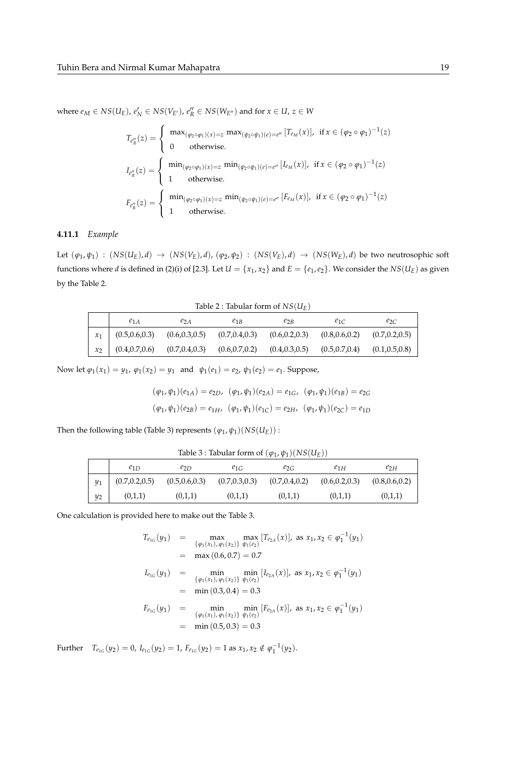where  $e_M \in NS(U_E)$ ,  $e'_N \in NS(V_{E'})$ ,  $e''_R \in NS(W_{E''})$  and for  $x \in U$ ,  $z \in W$ 

$$
T_{e''_R}(z) = \begin{cases} \max_{(\varphi_2 \circ \varphi_1)(x) = z} \max_{(\psi_2 \circ \psi_1)(e) = e''} [T_{e_M}(x)], & \text{if } x \in (\varphi_2 \circ \varphi_1)^{-1}(z) \\ 0 & \text{otherwise.} \end{cases}
$$
  

$$
I_{e''_R}(z) = \begin{cases} \min_{(\varphi_2 \circ \varphi_1)(x) = z} \min_{(\psi_2 \circ \psi_1)(e) = e''} [I_{e_M}(x)], & \text{if } x \in (\varphi_2 \circ \varphi_1)^{-1}(z) \\ 1 & \text{otherwise.} \end{cases}
$$
  

$$
F_{e''_R}(z) = \begin{cases} \min_{(\varphi_2 \circ \varphi_1)(x) = z} \min_{(\psi_2 \circ \psi_1)(e) = e''} [F_{e_M}(x)], & \text{if } x \in (\varphi_2 \circ \varphi_1)^{-1}(z) \\ 1 & \text{otherwise.} \end{cases}
$$

#### **4.11.1** *Example*

Let  $(\varphi_1,\psi_1)$  :  $(NS(U_E),d) \rightarrow (NS(V_E),d)$ ,  $(\varphi_2,\psi_2)$  :  $(NS(V_E),d) \rightarrow (NS(W_E),d)$  be two neutrosophic soft functions where *d* is defined in (2)(i) of [2.3]. Let  $U=\{x_1,x_2\}$  and  $E=\{e_1,e_2\}$ . We consider the  $NS(U_E)$  as given by the Table 2.

Table 2 : Tabular form of  $NS(U_E)$ 

| $e_{1A}$            | $e_{2A}$        | $e_{1B}$        | $e_{2B}$        | $e_{1C}$        | $e_{2C}$        |
|---------------------|-----------------|-----------------|-----------------|-----------------|-----------------|
| $x_1$ (0.5,0.6,0.3) | (0.6, 0.3, 0.5) | (0.7, 0.4, 0.3) | (0.6, 0.2, 0.3) | (0.8, 0.6, 0.2) | (0.7, 0.2, 0.5) |
| (0.4, 0.7, 0.6)     | (0.7, 0.4, 0.3) | (0.6, 0.7, 0.2) | (0.4, 0.3, 0.5) | (0.5, 0.7, 0.4) | (0.1, 0.5, 0.8) |

Now let  $\varphi_1(x_1) = y_1$ ,  $\varphi_1(x_2) = y_1$  and  $\psi_1(e_1) = e_2$ ,  $\psi_1(e_2) = e_1$ . Suppose,

$$
(\varphi_1, \psi_1)(e_{1A}) = e_{2D}, \ (\varphi_1, \psi_1)(e_{2A}) = e_{1G}, \ (\varphi_1, \psi_1)(e_{1B}) = e_{2G}
$$

$$
(\varphi_1, \psi_1)(e_{2B}) = e_{1H}, \ (\varphi_1, \psi_1)(e_{1C}) = e_{2H}, \ (\varphi_1, \psi_1)(e_{2C}) = e_{1D}
$$

Then the following table (Table 3) represents  $(\varphi_1, \psi_1)(NS(U_E))$ :

Table 3 : Tabular form of  $(\varphi_1, \psi_1)(NS(U_E))$ 

|       | $e_{1D}$        | $e_{2D}$        | $e_{1G}$        | $e_{2G}$        | $e_{1H}$        | $e_{2H}$        |
|-------|-----------------|-----------------|-----------------|-----------------|-----------------|-----------------|
| $y_1$ | (0.7, 0.2, 0.5) | (0.5, 0.6, 0.3) | (0.7, 0.3, 0.3) | (0.7, 0.4, 0.2) | (0.6, 0.2, 0.3) | (0.8, 0.6, 0.2) |
| $y_2$ | (0,1,1)         | (0,1,1)         | (0,1,1)         | (0,1,1)         | (0,1,1)         | (0,1,1)         |

One calculation is provided here to make out the Table 3.

$$
T_{e_{1G}}(y_1) = \max_{\{\varphi_1(x_1), \varphi_1(x_2)\}} \max_{\psi_1(e_2)} [T_{e_{2A}}(x)], \text{ as } x_1, x_2 \in \varphi_1^{-1}(y_1)
$$
  
\n
$$
= \max(0.6, 0.7) = 0.7
$$
  
\n
$$
I_{e_{1G}}(y_1) = \min_{\{\varphi_1(x_1), \varphi_1(x_2)\}} \min_{\psi_1(e_2)} [I_{e_{2A}}(x)], \text{ as } x_1, x_2 \in \varphi_1^{-1}(y_1)
$$
  
\n
$$
= \min(0.3, 0.4) = 0.3
$$
  
\n
$$
F_{e_{1G}}(y_1) = \min_{\{\varphi_1(x_1), \varphi_1(x_2)\}} \min_{\psi_1(e_2)} [F_{e_{2A}}(x)], \text{ as } x_1, x_2 \in \varphi_1^{-1}(y_1)
$$
  
\n
$$
= \min(0.5, 0.3) = 0.3
$$

Further  $T_{e_{1G}}(y_2) = 0$ ,  $I_{e_{1G}}(y_2) = 1$ ,  $F_{e_{1G}}(y_2) = 1$  as  $x_1, x_2 \notin \varphi_1^{-1}(y_2)$ .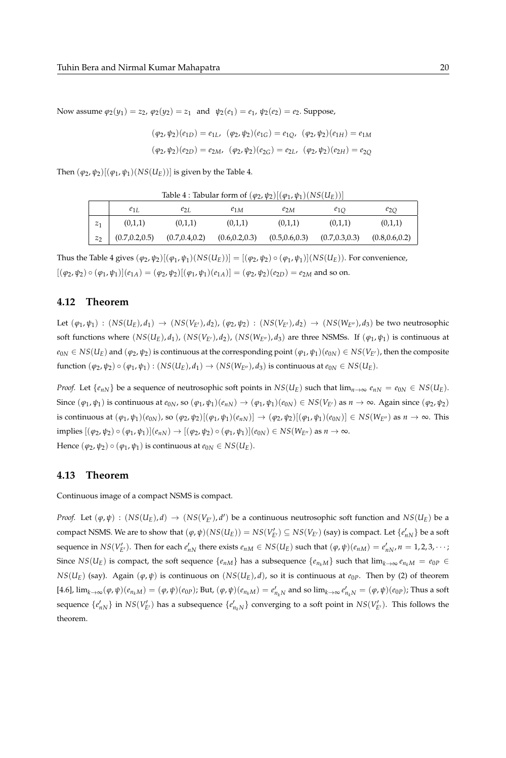Now assume  $\varphi_2(y_1) = z_2$ ,  $\varphi_2(y_2) = z_1$  and  $\psi_2(e_1) = e_1$ ,  $\psi_2(e_2) = e_2$ . Suppose,

$$
(\varphi_2, \psi_2)(e_{1D}) = e_{1L}, \ (\varphi_2, \psi_2)(e_{1G}) = e_{1Q}, \ (\varphi_2, \psi_2)(e_{1H}) = e_{1M}
$$

$$
(\varphi_2, \psi_2)(e_{2D}) = e_{2M}, \ (\varphi_2, \psi_2)(e_{2G}) = e_{2L}, \ (\varphi_2, \psi_2)(e_{2H}) = e_{2Q}
$$

Then  $(\varphi_2, \psi_2)[(\varphi_1, \psi_1)(NS(U_E))]$  is given by the Table 4.

| Table 4 : Tabular form of $(\varphi_2, \psi_2) [(\varphi_1, \psi_1) (NS(U_E))]$ |  |
|---------------------------------------------------------------------------------|--|
|---------------------------------------------------------------------------------|--|

|         | $e_{1L}$        | $e_{2I}$        | $e_{1M}$        | $e_{2M}$        | $e_{1O}$        | $e_{2O}$        |
|---------|-----------------|-----------------|-----------------|-----------------|-----------------|-----------------|
| $z_1$   | (0,1,1)         | (0,1,1)         | (0,1,1)         | (0,1,1)         | (0,1,1)         | (0,1,1)         |
| $z_{2}$ | (0.7, 0.2, 0.5) | (0.7, 0.4, 0.2) | (0.6, 0.2, 0.3) | (0.5, 0.6, 0.3) | (0.7, 0.3, 0.3) | (0.8, 0.6, 0.2) |

Thus the Table 4 gives  $(\varphi_2, \psi_2)[(\varphi_1, \psi_1)(NS(U_E))] = [(\varphi_2, \psi_2) \circ (\varphi_1, \psi_1)](NS(U_E)).$  For convenience,  $[(\varphi_2, \psi_2) \circ (\varphi_1, \psi_1)](e_{1A}) = (\varphi_2, \psi_2)[(\varphi_1, \psi_1)(e_{1A})] = (\varphi_2, \psi_2)(e_{2D}) = e_{2M}$  and so on.

### **4.12 Theorem**

Let  $(\varphi_1, \psi_1)$  :  $(NS(U_E), d_1) \rightarrow (NS(V_{E'}), d_2), (\varphi_2, \psi_2)$  :  $(NS(V_{E'}), d_2) \rightarrow (NS(W_{E''}), d_3)$  be two neutrosophic soft functions where  $(NS(U_E), d_1)$ ,  $(NS(V_{E'}), d_2)$ ,  $(NS(W_{E''}), d_3)$  are three NSMSs. If  $(\varphi_1, \psi_1)$  is continuous at  $e_{0N} \in NS(U_E)$  and  $(\varphi_2, \psi_2)$  is continuous at the corresponding point  $(\varphi_1, \psi_1)(e_{0N}) \in NS(V_{E'})$ , then the composite  $f$ unction  $(\varphi_2, \psi_2) \circ (\varphi_1, \psi_1) : (NS(U_E), d_1) \rightarrow (NS(W_{E''}), d_3)$  is continuous at  $e_{0N} \in NS(U_E)$ .

*Proof.* Let  $\{e_{nN}\}$  be a sequence of neutrosophic soft points in  $NS(U_E)$  such that  $\lim_{n\to\infty} e_{nN} = e_{0N} \in NS(U_E)$ . Since  $(\varphi_1,\psi_1)$  is continuous at  $e_{0N}$ , so  $(\varphi_1,\psi_1)(e_{nN}) \to (\varphi_1,\psi_1)(e_{0N}) \in NS(V_{E'})$  as  $n \to \infty$ . Again since  $(\varphi_2,\psi_2)$ is continuous at  $(\varphi_1,\psi_1)(e_{0N})$ , so  $(\varphi_2,\psi_2)[(\varphi_1,\psi_1)(e_{nN})] \to (\varphi_2,\psi_2)[(\varphi_1,\psi_1)(e_{0N})] \in NS(W_{E''})$  as  $n \to \infty$ . This implies  $[(φ_2, ψ_2) ∘ (φ_1, ψ_1)](e_{nN}) → [(φ_2, ψ_2) ∘ (φ_1, ψ_1)](e_{0N}) ∈ NS(W_{E'})$  as  $n → ∞$ . Hence  $(\varphi_2, \psi_2) \circ (\varphi_1, \psi_1)$  is continuous at  $e_{0N} \in NS(U_E)$ .

### **4.13 Theorem**

Continuous image of a compact NSMS is compact.

*Proof.* Let  $(\varphi, \psi)$ :  $(NS(U_E), d) \to (NS(V_{E'}), d')$  be a continuous neutrosophic soft function and  $NS(U_E)$  be a compact NSMS. We are to show that  $(\varphi, \psi)(NS(U_E)) = NS(V'_{E'}) \subseteq NS(V_{E'})$  (say) is compact. Let  $\{e'_{nN}\}$  be a soft sequence in  $NS(V'_{E'})$ . Then for each  $e'_{nN}$  there exists  $e_{nM} \in NS(U_E)$  such that  $(\varphi, \psi)(e_{nM}) = e'_{nN}$ ,  $n = 1, 2, 3, \cdots$ ; Since  $NS(U_E)$  is compact, the soft sequence  $\{e_{nM}\}\$  has a subsequence  $\{e_{n_kM}\}\$  such that  $\lim_{k\to\infty}e_{n_kM}=e_{0P}\in$ *NS*( $U_E$ ) (say). Again ( $\varphi, \psi$ ) is continuous on (*NS*( $U_E$ ), *d*), so it is continuous at  $e_{0P}$ . Then by (2) of theorem [4.6],  $\lim_{k\to\infty} (\varphi, \psi)(e_{n_kM}) = (\varphi, \psi)(e_{0P})$ ; But,  $(\varphi, \psi)(e_{n_kM}) = e'_{n_kN}$  and so  $\lim_{k\to\infty} e'_{n_kN} = (\varphi, \psi)(e_{0P})$ ; Thus a soft sequence  $\{e'_{nN}\}$  in  $NS(V'_{E'})$  has a subsequence  $\{e'_{n_kN}\}$  converging to a soft point in  $NS(V'_{E'})$ . This follows the theorem.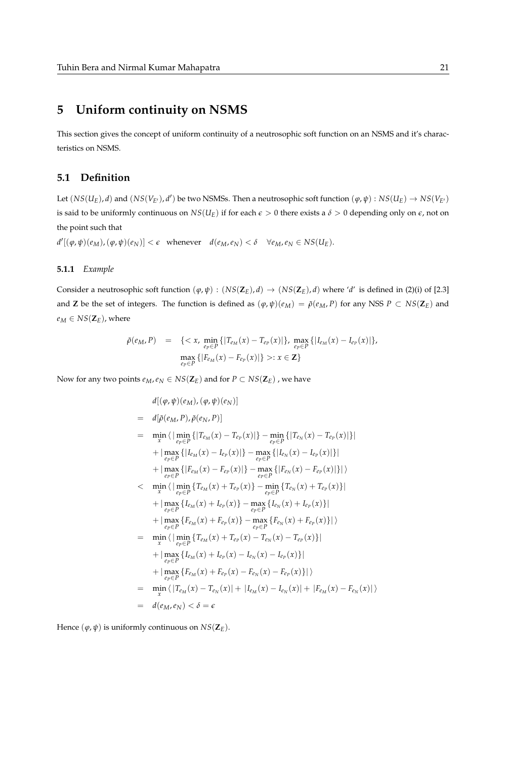# **5 Uniform continuity on NSMS**

This section gives the concept of uniform continuity of a neutrosophic soft function on an NSMS and it's characteristics on NSMS.

# **5.1 Definition**

Let  $(NS(U_E), d)$  and  $(NS(V_{E'}), d')$  be two NSMSs. Then a neutrosophic soft function  $(\varphi, \psi): NS(U_E) \to NS(V_{E'})$ is said to be uniformly continuous on  $NS(U_E)$  if for each  $\epsilon > 0$  there exists a  $\delta > 0$  depending only on  $\epsilon$ , not on the point such that

 $d'[(\varphi,\psi)(e_M),(\varphi,\psi)(e_N)] < \epsilon$  whenever  $d(e_M,e_N) < \delta \quad \forall e_M,e_N \in NS(U_E)$ .

#### **5.1.1** *Example*

Consider a neutrosophic soft function  $(\varphi, \psi) : (NS(\mathbb{Z}_E), d) \to (NS(\mathbb{Z}_E), d)$  where '*d'* is defined in (2)(i) of [2.3] and **Z** be the set of integers. The function is defined as  $(\varphi, \psi)(e_M) = \tilde{\rho}(e_M, P)$  for any NSS  $P \subset NS(\mathbb{Z}_E)$  and  $e_M \in NS(\mathbf{Z}_E)$ , where

$$
\tilde{\rho}(e_M, P) = \{ \langle x, \min_{e_P \in P} \{ |T_{e_M}(x) - T_{e_P}(x)| \}, \max_{e_P \in P} \{ |I_{e_M}(x) - I_{e_P}(x)| \},\newline \max_{e_P \in P} \{ |F_{e_M}(x) - F_{e_P}(x)| \} \rangle : x \in \mathbb{Z} \}
$$

Now for any two points  $e_M$ ,  $e_N \in NS(\mathbb{Z}_E)$  and for  $P \subset NS(\mathbb{Z}_E)$  , we have

$$
d[(\varphi, \psi)(e_M), (\varphi, \psi)(e_N)]
$$
\n
$$
= d[\tilde{\rho}(e_M, P), \tilde{\rho}(e_N, P)]
$$
\n
$$
= \min_{x} \langle \big| \min_{e_P \in P} \{ |T_{e_M}(x) - T_{e_P}(x)| \} - \min_{e_P \in P} \{ |T_{e_N}(x) - T_{e_P}(x)| \} |
$$
\n
$$
+ |\max_{e_P \in P} \{ |I_{e_M}(x) - I_{e_P}(x)| \} - \max_{e_P \in P} \{ |I_{e_N}(x) - I_{e_P}(x)| \} |
$$
\n
$$
+ |\max_{e_P \in P} \{ |F_{e_M}(x) - F_{e_P}(x)| \} - \max_{e_P \in P} \{ |F_{e_N}(x) - F_{e_P}(x)| \} | \rangle
$$
\n
$$
< \min_{x} \langle \big| \min_{e_P \in P} \{ T_{e_M}(x) + T_{e_P}(x) \} - \min_{e_P \in P} \{ T_{e_N}(x) + T_{e_P}(x) \} |
$$
\n
$$
+ |\max_{e_P \in P} \{ I_{e_M}(x) + I_{e_P}(x) \} - \max_{e_P \in P} \{ I_{e_N}(x) + I_{e_P}(x) \} |
$$
\n
$$
+ |\max_{e_P \in P} \{ F_{e_M}(x) + F_{e_P}(x) \} - \max_{e_P \in P} \{ F_{e_N}(x) + F_{e_P}(x) \} |
$$
\n
$$
+ |\max_{e_P \in P} \{ I_{e_M}(x) + I_{e_P}(x) - I_{e_N}(x) - I_{e_P}(x) \} |
$$
\n
$$
+ |\max_{e_P \in P} \{ I_{e_M}(x) + I_{e_P}(x) - I_{e_N}(x) - I_{e_P}(x) \} |
$$
\n
$$
+ |\max_{e_P \in P} \{ F_{e_M}(x) + F_{e_P}(x) - F_{e_N}(x) - F_{e_P}(x) \} |
$$
\n
$$
= \min_{x} \langle |T_{e_M}(x) - T_{e_N}(x)| + |I_{e_M}(x) - I_{e_N}(x)| + |F_{e_M}(x) - F_{e_N}(x)| \rangle
$$
\n
$$
= d(e_M, e_N) < \delta = \epsilon
$$

Hence  $(\varphi, \psi)$  is uniformly continuous on  $NS(\mathbb{Z}_E)$ .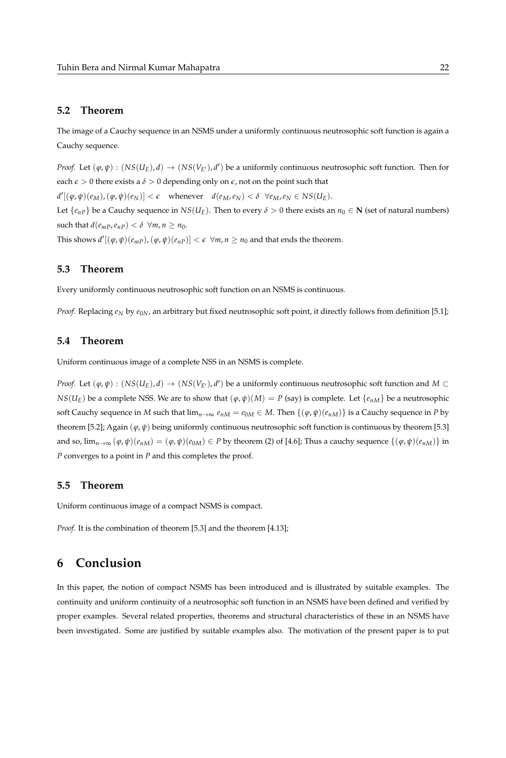### **5.2 Theorem**

The image of a Cauchy sequence in an NSMS under a uniformly continuous neutrosophic soft function is again a Cauchy sequence.

*Proof.* Let  $(\varphi, \psi) : (NS(U_E), d) \to (NS(V_{E'}), d')$  be a uniformly continuous neutrosophic soft function. Then for each  $\epsilon > 0$  there exists a  $\delta > 0$  depending only on  $\epsilon$ , not on the point such that  $d'[(\varphi, \psi)(e_M), (\varphi, \psi)(e_N)] < \epsilon$  whenever  $d(e_M, e_N) < \delta \ \ \forall e_M, e_N \in NS(U_E)$ . Let  $\{e_{nP}\}$  be a Cauchy sequence in  $NS(U_F)$ . Then to every  $\delta > 0$  there exists an  $n_0 \in \mathbb{N}$  (set of natural numbers) such that  $d(e_{mP}, e_{nP}) < \delta \ \forall m, n \ge n_0$ .

This shows  $d'[(\varphi, \psi)(e_{mP}), (\varphi, \psi)(e_{nP})] < \epsilon \ \ \forall m, n \geq n_0$  and that ends the theorem.

#### **5.3 Theorem**

Every uniformly continuous neutrosophic soft function on an NSMS is continuous.

*Proof.* Replacing  $e_N$  by  $e_{0N}$ , an arbitrary but fixed neutrosophic soft point, it directly follows from definition [5.1];

# **5.4 Theorem**

Uniform continuous image of a complete NSS in an NSMS is complete.

*Proof.* Let  $(\varphi, \psi) : (NS(U_E), d) \to (NS(V_{E'}), d')$  be a uniformly continuous neutrosophic soft function and  $M \subset$ *NS*( $U_E$ ) be a complete NSS. We are to show that  $(\varphi, \psi)(M) = P$  (say) is complete. Let  $\{e_{nM}\}$  be a neutrosophic soft Cauchy sequence in *M* such that  $\lim_{n\to\infty} e_{nM} = e_{0M} \in M$ . Then  $\{(\varphi, \psi)(e_{nM})\}$  is a Cauchy sequence in *P* by theorem [5.2]; Again (*ϕ*, *ψ*) being uniformly continuous neutrosophic soft function is continuous by theorem [5.3] and so,  $\lim_{n\to\infty} (\varphi, \psi)(e_{nM}) = (\varphi, \psi)(e_{0M}) \in P$  by theorem (2) of [4.6]; Thus a cauchy sequence  $\{(\varphi, \psi)(e_{nM})\}$  in *P* converges to a point in *P* and this completes the proof.

#### **5.5 Theorem**

Uniform continuous image of a compact NSMS is compact.

*Proof.* It is the combination of theorem [5.3] and the theorem [4.13];

# **6 Conclusion**

In this paper, the notion of compact NSMS has been introduced and is illustrated by suitable examples. The continuity and uniform continuity of a neutrosophic soft function in an NSMS have been defined and verified by proper examples. Several related properties, theorems and structural characteristics of these in an NSMS have been investigated. Some are justified by suitable examples also. The motivation of the present paper is to put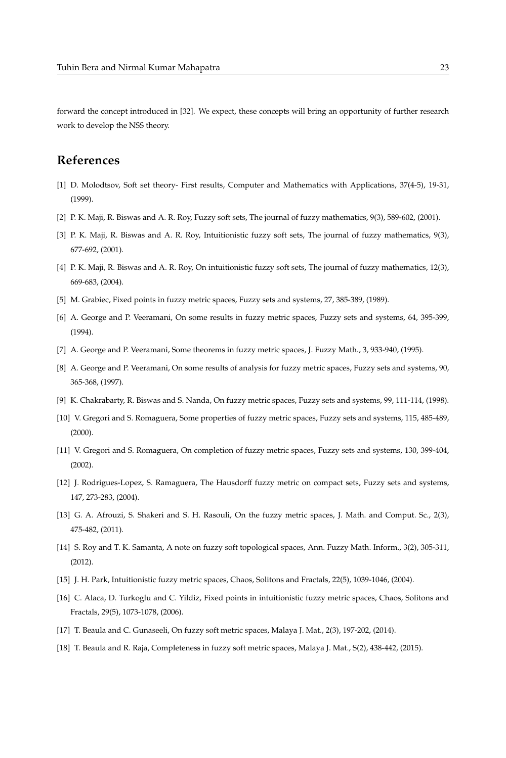forward the concept introduced in [32]. We expect, these concepts will bring an opportunity of further research work to develop the NSS theory.

# **References**

- [1] D. Molodtsov, Soft set theory- First results, Computer and Mathematics with Applications, 37(4-5), 19-31, (1999).
- [2] P. K. Maji, R. Biswas and A. R. Roy, Fuzzy soft sets, The journal of fuzzy mathematics, 9(3), 589-602, (2001).
- [3] P. K. Maji, R. Biswas and A. R. Roy, Intuitionistic fuzzy soft sets, The journal of fuzzy mathematics, 9(3), 677-692, (2001).
- [4] P. K. Maji, R. Biswas and A. R. Roy, On intuitionistic fuzzy soft sets, The journal of fuzzy mathematics, 12(3), 669-683, (2004).
- [5] M. Grabiec, Fixed points in fuzzy metric spaces, Fuzzy sets and systems, 27, 385-389, (1989).
- [6] A. George and P. Veeramani, On some results in fuzzy metric spaces, Fuzzy sets and systems, 64, 395-399, (1994).
- [7] A. George and P. Veeramani, Some theorems in fuzzy metric spaces, J. Fuzzy Math., 3, 933-940, (1995).
- [8] A. George and P. Veeramani, On some results of analysis for fuzzy metric spaces, Fuzzy sets and systems, 90, 365-368, (1997).
- [9] K. Chakrabarty, R. Biswas and S. Nanda, On fuzzy metric spaces, Fuzzy sets and systems, 99, 111-114, (1998).
- [10] V. Gregori and S. Romaguera, Some properties of fuzzy metric spaces, Fuzzy sets and systems, 115, 485-489, (2000).
- [11] V. Gregori and S. Romaguera, On completion of fuzzy metric spaces, Fuzzy sets and systems, 130, 399-404, (2002).
- [12] J. Rodrigues-Lopez, S. Ramaguera, The Hausdorff fuzzy metric on compact sets, Fuzzy sets and systems, 147, 273-283, (2004).
- [13] G. A. Afrouzi, S. Shakeri and S. H. Rasouli, On the fuzzy metric spaces, J. Math. and Comput. Sc., 2(3), 475-482, (2011).
- [14] S. Roy and T. K. Samanta, A note on fuzzy soft topological spaces, Ann. Fuzzy Math. Inform., 3(2), 305-311, (2012).
- [15] J. H. Park, Intuitionistic fuzzy metric spaces, Chaos, Solitons and Fractals, 22(5), 1039-1046, (2004).
- [16] C. Alaca, D. Turkoglu and C. Yildiz, Fixed points in intuitionistic fuzzy metric spaces, Chaos, Solitons and Fractals, 29(5), 1073-1078, (2006).
- [17] T. Beaula and C. Gunaseeli, On fuzzy soft metric spaces, Malaya J. Mat., 2(3), 197-202, (2014).
- [18] T. Beaula and R. Raja, Completeness in fuzzy soft metric spaces, Malaya J. Mat., S(2), 438-442, (2015).